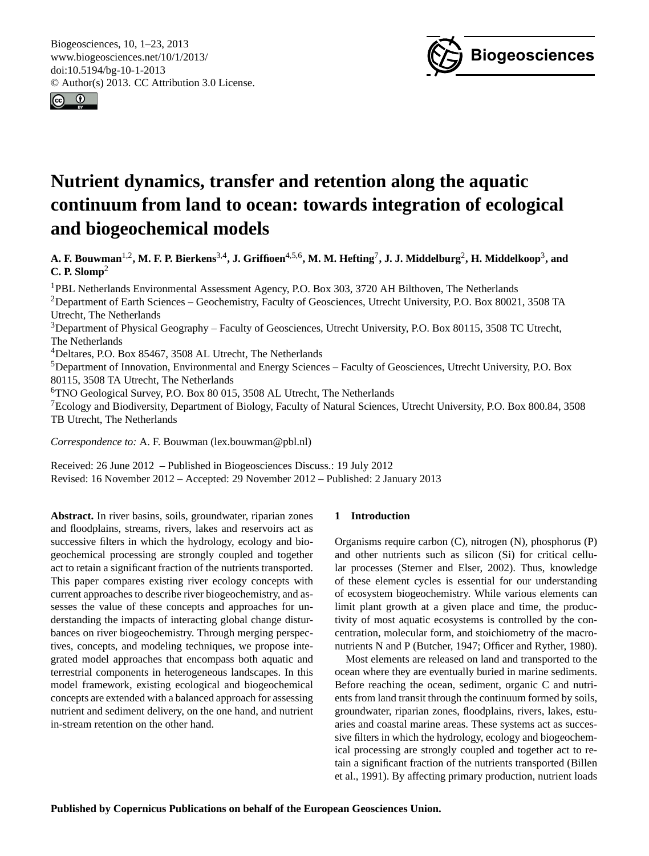<span id="page-0-0"></span>Biogeosciences, 10, 1–23, 2013 www.biogeosciences.net/10/1/2013/ doi:10.5194/bg-10-1-2013 © Author(s) 2013. CC Attribution 3.0 License.





# **Nutrient dynamics, transfer and retention along the aquatic continuum from land to ocean: towards integration of ecological and biogeochemical models**

**A. F. Bouwman**1,2**, M. F. P. Bierkens**3,4**, J. Griffioen**4,5,6**, M. M. Hefting**<sup>7</sup> **, J. J. Middelburg**<sup>2</sup> **, H. Middelkoop**<sup>3</sup> **, and C. P. Slomp**<sup>2</sup>

<sup>1</sup>PBL Netherlands Environmental Assessment Agency, P.O. Box 303, 3720 AH Bilthoven, The Netherlands <sup>2</sup>Department of Earth Sciences – Geochemistry, Faculty of Geosciences, Utrecht University, P.O. Box 80021, 3508 TA Utrecht, The Netherlands <sup>3</sup>Department of Physical Geography – Faculty of Geosciences, Utrecht University, P.O. Box 80115, 3508 TC Utrecht, The Netherlands <sup>4</sup>Deltares, P.O. Box 85467, 3508 AL Utrecht, The Netherlands <sup>5</sup>Department of Innovation, Environmental and Energy Sciences – Faculty of Geosciences, Utrecht University, P.O. Box 80115, 3508 TA Utrecht, The Netherlands <sup>6</sup>TNO Geological Survey, P.O. Box 80 015, 3508 AL Utrecht, The Netherlands

<sup>7</sup>Ecology and Biodiversity, Department of Biology, Faculty of Natural Sciences, Utrecht University, P.O. Box 800.84, 3508 TB Utrecht, The Netherlands

*Correspondence to:* A. F. Bouwman (lex.bouwman@pbl.nl)

Received: 26 June 2012 – Published in Biogeosciences Discuss.: 19 July 2012 Revised: 16 November 2012 – Accepted: 29 November 2012 – Published: 2 January 2013

**Abstract.** In river basins, soils, groundwater, riparian zones and floodplains, streams, rivers, lakes and reservoirs act as successive filters in which the hydrology, ecology and biogeochemical processing are strongly coupled and together act to retain a significant fraction of the nutrients transported. This paper compares existing river ecology concepts with current approaches to describe river biogeochemistry, and assesses the value of these concepts and approaches for understanding the impacts of interacting global change disturbances on river biogeochemistry. Through merging perspectives, concepts, and modeling techniques, we propose integrated model approaches that encompass both aquatic and terrestrial components in heterogeneous landscapes. In this model framework, existing ecological and biogeochemical concepts are extended with a balanced approach for assessing nutrient and sediment delivery, on the one hand, and nutrient in-stream retention on the other hand.

# **1 Introduction**

Organisms require carbon (C), nitrogen (N), phosphorus (P) and other nutrients such as silicon (Si) for critical cellular processes (Sterner and Elser, 2002). Thus, knowledge of these element cycles is essential for our understanding of ecosystem biogeochemistry. While various elements can limit plant growth at a given place and time, the productivity of most aquatic ecosystems is controlled by the concentration, molecular form, and stoichiometry of the macronutrients N and P (Butcher, 1947; Officer and Ryther, 1980).

Most elements are released on land and transported to the ocean where they are eventually buried in marine sediments. Before reaching the ocean, sediment, organic C and nutrients from land transit through the continuum formed by soils, groundwater, riparian zones, floodplains, rivers, lakes, estuaries and coastal marine areas. These systems act as successive filters in which the hydrology, ecology and biogeochemical processing are strongly coupled and together act to retain a significant fraction of the nutrients transported (Billen et al., 1991). By affecting primary production, nutrient loads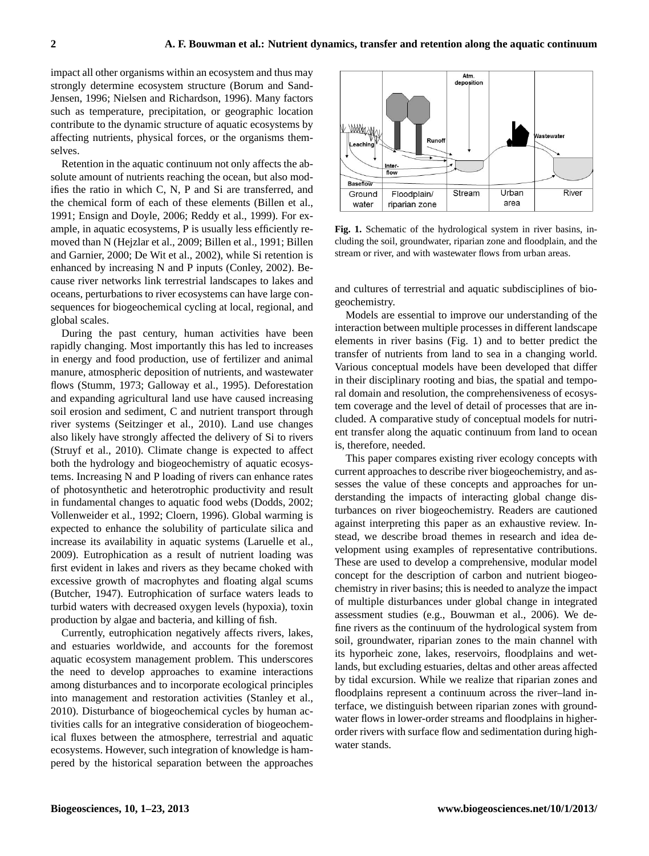impact all other organisms within an ecosystem and thus may strongly determine ecosystem structure (Borum and Sand-Jensen, 1996; Nielsen and Richardson, 1996). Many factors such as temperature, precipitation, or geographic location contribute to the dynamic structure of aquatic ecosystems by affecting nutrients, physical forces, or the organisms themselves.

Retention in the aquatic continuum not only affects the absolute amount of nutrients reaching the ocean, but also modifies the ratio in which C, N, P and Si are transferred, and the chemical form of each of these elements (Billen et al., 1991; Ensign and Doyle, 2006; Reddy et al., 1999). For example, in aquatic ecosystems, P is usually less efficiently removed than N (Hejzlar et al., 2009; Billen et al., 1991; Billen and Garnier, 2000; De Wit et al., 2002), while Si retention is enhanced by increasing N and P inputs (Conley, 2002). Because river networks link terrestrial landscapes to lakes and oceans, perturbations to river ecosystems can have large consequences for biogeochemical cycling at local, regional, and global scales.

During the past century, human activities have been rapidly changing. Most importantly this has led to increases in energy and food production, use of fertilizer and animal manure, atmospheric deposition of nutrients, and wastewater flows (Stumm, 1973; Galloway et al., 1995). Deforestation and expanding agricultural land use have caused increasing soil erosion and sediment, C and nutrient transport through river systems (Seitzinger et al., 2010). Land use changes also likely have strongly affected the delivery of Si to rivers (Struyf et al., 2010). Climate change is expected to affect both the hydrology and biogeochemistry of aquatic ecosystems. Increasing N and P loading of rivers can enhance rates of photosynthetic and heterotrophic productivity and result in fundamental changes to aquatic food webs (Dodds, 2002; Vollenweider et al., 1992; Cloern, 1996). Global warming is expected to enhance the solubility of particulate silica and increase its availability in aquatic systems (Laruelle et al., 2009). Eutrophication as a result of nutrient loading was first evident in lakes and rivers as they became choked with excessive growth of macrophytes and floating algal scums (Butcher, 1947). Eutrophication of surface waters leads to turbid waters with decreased oxygen levels (hypoxia), toxin production by algae and bacteria, and killing of fish.

Currently, eutrophication negatively affects rivers, lakes, and estuaries worldwide, and accounts for the foremost aquatic ecosystem management problem. This underscores the need to develop approaches to examine interactions among disturbances and to incorporate ecological principles into management and restoration activities (Stanley et al., 2010). Disturbance of biogeochemical cycles by human activities calls for an integrative consideration of biogeochemical fluxes between the atmosphere, terrestrial and aquatic ecosystems. However, such integration of knowledge is hampered by the historical separation between the approaches



**Fig. 1.** Schematic of the hydrological system in river basins, including the soil, groundwater, riparian zone and floodplain, and the stream or river, and with wastewater flows from urban areas.

and cultures of terrestrial and aquatic subdisciplines of biogeochemistry.

Models are essential to improve our understanding of the interaction between multiple processes in different landscape elements in river basins (Fig. 1) and to better predict the transfer of nutrients from land to sea in a changing world. Various conceptual models have been developed that differ in their disciplinary rooting and bias, the spatial and temporal domain and resolution, the comprehensiveness of ecosystem coverage and the level of detail of processes that are included. A comparative study of conceptual models for nutrient transfer along the aquatic continuum from land to ocean is, therefore, needed.

This paper compares existing river ecology concepts with current approaches to describe river biogeochemistry, and assesses the value of these concepts and approaches for understanding the impacts of interacting global change disturbances on river biogeochemistry. Readers are cautioned against interpreting this paper as an exhaustive review. Instead, we describe broad themes in research and idea development using examples of representative contributions. These are used to develop a comprehensive, modular model concept for the description of carbon and nutrient biogeochemistry in river basins; this is needed to analyze the impact of multiple disturbances under global change in integrated assessment studies (e.g., Bouwman et al., 2006). We define rivers as the continuum of the hydrological system from soil, groundwater, riparian zones to the main channel with its hyporheic zone, lakes, reservoirs, floodplains and wetlands, but excluding estuaries, deltas and other areas affected by tidal excursion. While we realize that riparian zones and floodplains represent a continuum across the river–land interface, we distinguish between riparian zones with groundwater flows in lower-order streams and floodplains in higherorder rivers with surface flow and sedimentation during highwater stands.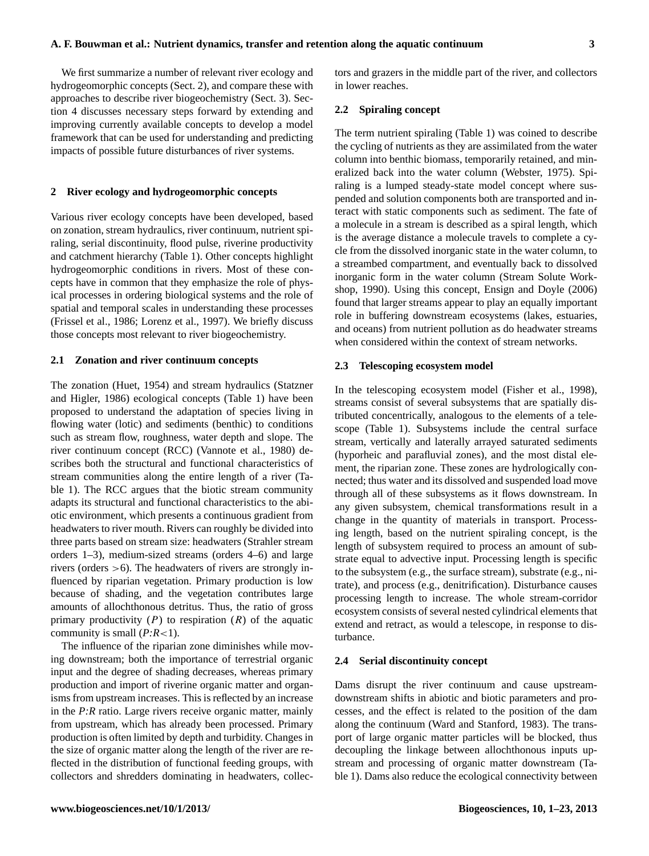We first summarize a number of relevant river ecology and hydrogeomorphic concepts (Sect. 2), and compare these with approaches to describe river biogeochemistry (Sect. 3). Section 4 discusses necessary steps forward by extending and improving currently available concepts to develop a model framework that can be used for understanding and predicting impacts of possible future disturbances of river systems.

## **2 River ecology and hydrogeomorphic concepts**

Various river ecology concepts have been developed, based on zonation, stream hydraulics, river continuum, nutrient spiraling, serial discontinuity, flood pulse, riverine productivity and catchment hierarchy (Table 1). Other concepts highlight hydrogeomorphic conditions in rivers. Most of these concepts have in common that they emphasize the role of physical processes in ordering biological systems and the role of spatial and temporal scales in understanding these processes (Frissel et al., 1986; Lorenz et al., 1997). We briefly discuss those concepts most relevant to river biogeochemistry.

#### **2.1 Zonation and river continuum concepts**

The zonation (Huet, 1954) and stream hydraulics (Statzner and Higler, 1986) ecological concepts (Table 1) have been proposed to understand the adaptation of species living in flowing water (lotic) and sediments (benthic) to conditions such as stream flow, roughness, water depth and slope. The river continuum concept (RCC) (Vannote et al., 1980) describes both the structural and functional characteristics of stream communities along the entire length of a river (Table 1). The RCC argues that the biotic stream community adapts its structural and functional characteristics to the abiotic environment, which presents a continuous gradient from headwaters to river mouth. Rivers can roughly be divided into three parts based on stream size: headwaters (Strahler stream orders 1–3), medium-sized streams (orders 4–6) and large rivers (orders >6). The headwaters of rivers are strongly influenced by riparian vegetation. Primary production is low because of shading, and the vegetation contributes large amounts of allochthonous detritus. Thus, the ratio of gross primary productivity  $(P)$  to respiration  $(R)$  of the aquatic community is small  $(P:R<1)$ .

The influence of the riparian zone diminishes while moving downstream; both the importance of terrestrial organic input and the degree of shading decreases, whereas primary production and import of riverine organic matter and organisms from upstream increases. This is reflected by an increase in the *P:R* ratio. Large rivers receive organic matter, mainly from upstream, which has already been processed. Primary production is often limited by depth and turbidity. Changes in the size of organic matter along the length of the river are reflected in the distribution of functional feeding groups, with collectors and shredders dominating in headwaters, collectors and grazers in the middle part of the river, and collectors in lower reaches.

## **2.2 Spiraling concept**

The term nutrient spiraling (Table 1) was coined to describe the cycling of nutrients as they are assimilated from the water column into benthic biomass, temporarily retained, and mineralized back into the water column (Webster, 1975). Spiraling is a lumped steady-state model concept where suspended and solution components both are transported and interact with static components such as sediment. The fate of a molecule in a stream is described as a spiral length, which is the average distance a molecule travels to complete a cycle from the dissolved inorganic state in the water column, to a streambed compartment, and eventually back to dissolved inorganic form in the water column (Stream Solute Workshop, 1990). Using this concept, Ensign and Doyle (2006) found that larger streams appear to play an equally important role in buffering downstream ecosystems (lakes, estuaries, and oceans) from nutrient pollution as do headwater streams when considered within the context of stream networks.

## **2.3 Telescoping ecosystem model**

In the telescoping ecosystem model (Fisher et al., 1998), streams consist of several subsystems that are spatially distributed concentrically, analogous to the elements of a telescope (Table 1). Subsystems include the central surface stream, vertically and laterally arrayed saturated sediments (hyporheic and parafluvial zones), and the most distal element, the riparian zone. These zones are hydrologically connected; thus water and its dissolved and suspended load move through all of these subsystems as it flows downstream. In any given subsystem, chemical transformations result in a change in the quantity of materials in transport. Processing length, based on the nutrient spiraling concept, is the length of subsystem required to process an amount of substrate equal to advective input. Processing length is specific to the subsystem (e.g., the surface stream), substrate (e.g., nitrate), and process (e.g., denitrification). Disturbance causes processing length to increase. The whole stream-corridor ecosystem consists of several nested cylindrical elements that extend and retract, as would a telescope, in response to disturbance.

#### **2.4 Serial discontinuity concept**

Dams disrupt the river continuum and cause upstreamdownstream shifts in abiotic and biotic parameters and processes, and the effect is related to the position of the dam along the continuum (Ward and Stanford, 1983). The transport of large organic matter particles will be blocked, thus decoupling the linkage between allochthonous inputs upstream and processing of organic matter downstream (Table 1). Dams also reduce the ecological connectivity between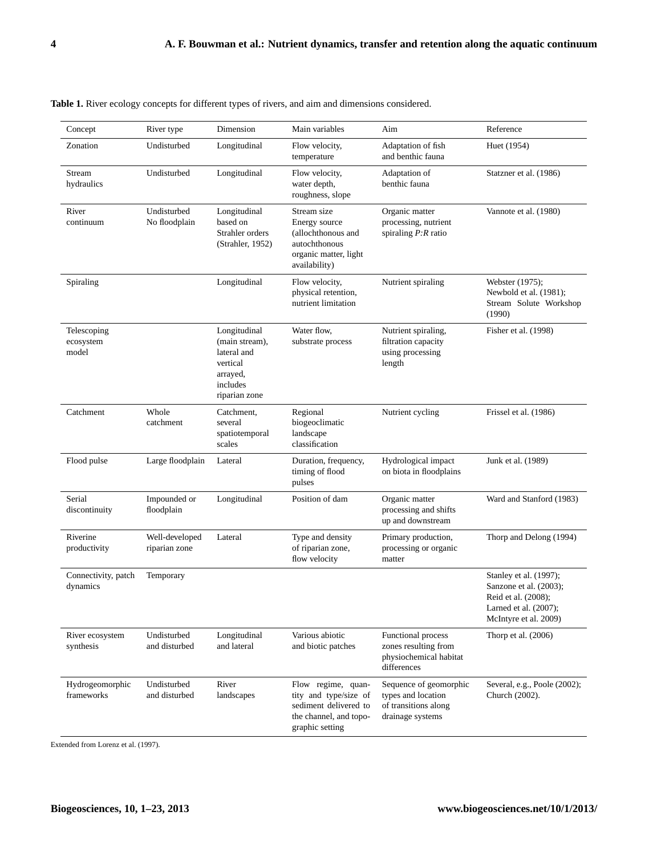| Concept                           | River type                      | Dimension                                                                                          | Main variables                                                                                                    | Aim                                                                                      | Reference                                                                                                                    |
|-----------------------------------|---------------------------------|----------------------------------------------------------------------------------------------------|-------------------------------------------------------------------------------------------------------------------|------------------------------------------------------------------------------------------|------------------------------------------------------------------------------------------------------------------------------|
| Zonation                          | Undisturbed                     | Longitudinal                                                                                       | Flow velocity,<br>temperature                                                                                     | Adaptation of fish<br>and benthic fauna                                                  | Huet (1954)                                                                                                                  |
| Stream<br>hydraulics              | Undisturbed                     | Longitudinal                                                                                       | Flow velocity,<br>water depth,<br>roughness, slope                                                                | Adaptation of<br>benthic fauna                                                           | Statzner et al. (1986)                                                                                                       |
| River<br>continuum                | Undisturbed<br>No floodplain    | Longitudinal<br>based on<br>Strahler orders<br>(Strahler, 1952)                                    | Stream size<br>Energy source<br>(allochthonous and<br>autochthonous<br>organic matter, light<br>availability)     | Organic matter<br>processing, nutrient<br>spiraling $P:R$ ratio                          | Vannote et al. (1980)                                                                                                        |
| Spiraling                         |                                 | Longitudinal                                                                                       | Flow velocity,<br>physical retention,<br>nutrient limitation                                                      | Nutrient spiraling                                                                       | Webster (1975);<br>Newbold et al. (1981);<br>Stream Solute Workshop<br>(1990)                                                |
| Telescoping<br>ecosystem<br>model |                                 | Longitudinal<br>(main stream),<br>lateral and<br>vertical<br>arrayed,<br>includes<br>riparian zone | Water flow,<br>substrate process                                                                                  | Nutrient spiraling,<br>filtration capacity<br>using processing<br>length                 | Fisher et al. (1998)                                                                                                         |
| Catchment                         | Whole<br>catchment              | Catchment,<br>several<br>spatiotemporal<br>scales                                                  | Regional<br>biogeoclimatic<br>landscape<br>classification                                                         | Nutrient cycling                                                                         | Frissel et al. (1986)                                                                                                        |
| Flood pulse                       | Large floodplain                | Lateral                                                                                            | Duration, frequency,<br>timing of flood<br>pulses                                                                 | Hydrological impact<br>on biota in floodplains                                           | Junk et al. (1989)                                                                                                           |
| Serial<br>discontinuity           | Impounded or<br>floodplain      | Longitudinal                                                                                       | Position of dam                                                                                                   | Organic matter<br>processing and shifts<br>up and downstream                             | Ward and Stanford (1983)                                                                                                     |
| Riverine<br>productivity          | Well-developed<br>riparian zone | Lateral                                                                                            | Type and density<br>of riparian zone,<br>flow velocity                                                            | Primary production,<br>processing or organic<br>matter                                   | Thorp and Delong (1994)                                                                                                      |
| Connectivity, patch<br>dynamics   | Temporary                       |                                                                                                    |                                                                                                                   |                                                                                          | Stanley et al. (1997);<br>Sanzone et al. (2003);<br>Reid et al. (2008);<br>Larned et al. $(2007)$ ;<br>McIntyre et al. 2009) |
| River ecosystem<br>synthesis      | Undisturbed<br>and disturbed    | Longitudinal<br>and lateral                                                                        | Various abiotic<br>and biotic patches                                                                             | Functional process<br>zones resulting from<br>physiochemical habitat<br>differences      | Thorp et al. $(2006)$                                                                                                        |
| Hydrogeomorphic<br>frameworks     | Undisturbed<br>and disturbed    | River<br>landscapes                                                                                | Flow regime, quan-<br>tity and type/size of<br>sediment delivered to<br>the channel, and topo-<br>graphic setting | Sequence of geomorphic<br>types and location<br>of transitions along<br>drainage systems | Several, e.g., Poole (2002);<br>Church (2002).                                                                               |

|  |  |  |  | Table 1. River ecology concepts for different types of rivers, and aim and dimensions considered. |  |  |  |  |  |  |  |  |  |  |  |  |  |
|--|--|--|--|---------------------------------------------------------------------------------------------------|--|--|--|--|--|--|--|--|--|--|--|--|--|
|--|--|--|--|---------------------------------------------------------------------------------------------------|--|--|--|--|--|--|--|--|--|--|--|--|--|

Extended from Lorenz et al. (1997).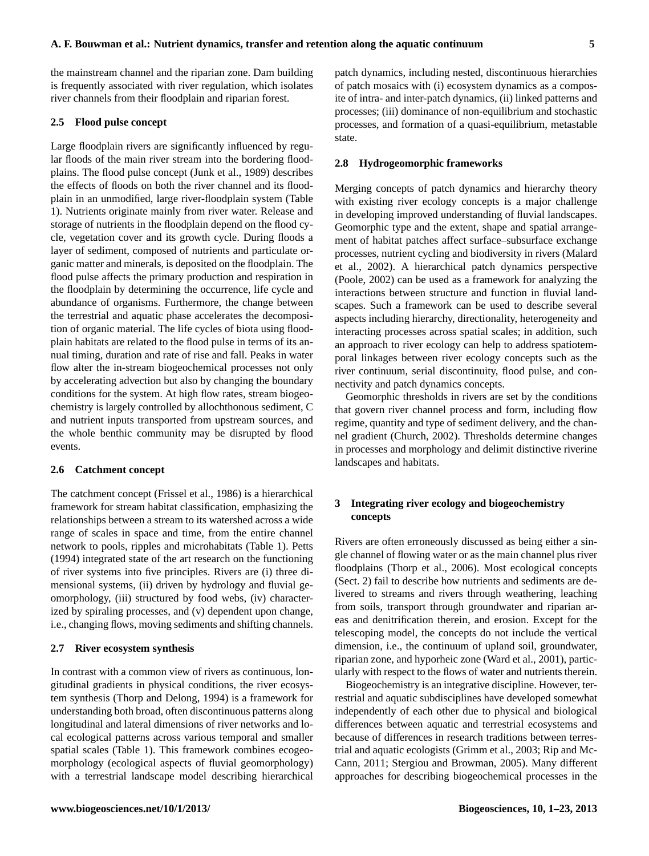the mainstream channel and the riparian zone. Dam building is frequently associated with river regulation, which isolates river channels from their floodplain and riparian forest.

## **2.5 Flood pulse concept**

Large floodplain rivers are significantly influenced by regular floods of the main river stream into the bordering floodplains. The flood pulse concept (Junk et al., 1989) describes the effects of floods on both the river channel and its floodplain in an unmodified, large river-floodplain system (Table 1). Nutrients originate mainly from river water. Release and storage of nutrients in the floodplain depend on the flood cycle, vegetation cover and its growth cycle. During floods a layer of sediment, composed of nutrients and particulate organic matter and minerals, is deposited on the floodplain. The flood pulse affects the primary production and respiration in the floodplain by determining the occurrence, life cycle and abundance of organisms. Furthermore, the change between the terrestrial and aquatic phase accelerates the decomposition of organic material. The life cycles of biota using floodplain habitats are related to the flood pulse in terms of its annual timing, duration and rate of rise and fall. Peaks in water flow alter the in-stream biogeochemical processes not only by accelerating advection but also by changing the boundary conditions for the system. At high flow rates, stream biogeochemistry is largely controlled by allochthonous sediment, C and nutrient inputs transported from upstream sources, and the whole benthic community may be disrupted by flood events.

# **2.6 Catchment concept**

The catchment concept (Frissel et al., 1986) is a hierarchical framework for stream habitat classification, emphasizing the relationships between a stream to its watershed across a wide range of scales in space and time, from the entire channel network to pools, ripples and microhabitats (Table 1). Petts (1994) integrated state of the art research on the functioning of river systems into five principles. Rivers are (i) three dimensional systems, (ii) driven by hydrology and fluvial geomorphology, (iii) structured by food webs, (iv) characterized by spiraling processes, and (v) dependent upon change, i.e., changing flows, moving sediments and shifting channels.

# **2.7 River ecosystem synthesis**

In contrast with a common view of rivers as continuous, longitudinal gradients in physical conditions, the river ecosystem synthesis (Thorp and Delong, 1994) is a framework for understanding both broad, often discontinuous patterns along longitudinal and lateral dimensions of river networks and local ecological patterns across various temporal and smaller spatial scales (Table 1). This framework combines ecogeomorphology (ecological aspects of fluvial geomorphology) with a terrestrial landscape model describing hierarchical patch dynamics, including nested, discontinuous hierarchies of patch mosaics with (i) ecosystem dynamics as a composite of intra- and inter-patch dynamics, (ii) linked patterns and processes; (iii) dominance of non-equilibrium and stochastic processes, and formation of a quasi-equilibrium, metastable state.

#### **2.8 Hydrogeomorphic frameworks**

Merging concepts of patch dynamics and hierarchy theory with existing river ecology concepts is a major challenge in developing improved understanding of fluvial landscapes. Geomorphic type and the extent, shape and spatial arrangement of habitat patches affect surface–subsurface exchange processes, nutrient cycling and biodiversity in rivers (Malard et al., 2002). A hierarchical patch dynamics perspective (Poole, 2002) can be used as a framework for analyzing the interactions between structure and function in fluvial landscapes. Such a framework can be used to describe several aspects including hierarchy, directionality, heterogeneity and interacting processes across spatial scales; in addition, such an approach to river ecology can help to address spatiotemporal linkages between river ecology concepts such as the river continuum, serial discontinuity, flood pulse, and connectivity and patch dynamics concepts.

Geomorphic thresholds in rivers are set by the conditions that govern river channel process and form, including flow regime, quantity and type of sediment delivery, and the channel gradient (Church, 2002). Thresholds determine changes in processes and morphology and delimit distinctive riverine landscapes and habitats.

# **3 Integrating river ecology and biogeochemistry concepts**

Rivers are often erroneously discussed as being either a single channel of flowing water or as the main channel plus river floodplains (Thorp et al., 2006). Most ecological concepts (Sect. 2) fail to describe how nutrients and sediments are delivered to streams and rivers through weathering, leaching from soils, transport through groundwater and riparian areas and denitrification therein, and erosion. Except for the telescoping model, the concepts do not include the vertical dimension, i.e., the continuum of upland soil, groundwater, riparian zone, and hyporheic zone (Ward et al., 2001), particularly with respect to the flows of water and nutrients therein.

Biogeochemistry is an integrative discipline. However, terrestrial and aquatic subdisciplines have developed somewhat independently of each other due to physical and biological differences between aquatic and terrestrial ecosystems and because of differences in research traditions between terrestrial and aquatic ecologists (Grimm et al., 2003; Rip and Mc-Cann, 2011; Stergiou and Browman, 2005). Many different approaches for describing biogeochemical processes in the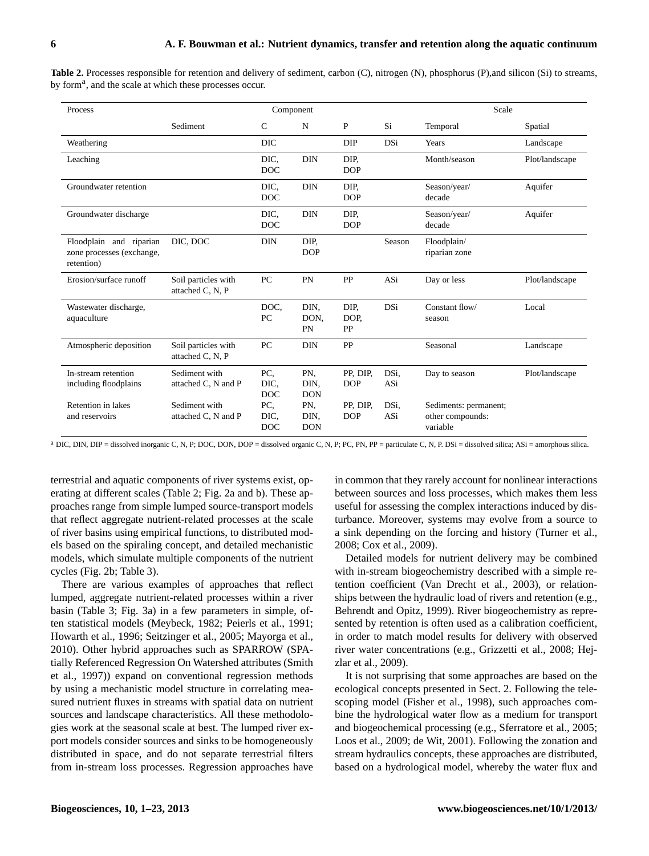| Process                                                            |                                         |                           | Component                 |                        |             | Scale                                                 |                |
|--------------------------------------------------------------------|-----------------------------------------|---------------------------|---------------------------|------------------------|-------------|-------------------------------------------------------|----------------|
|                                                                    | Sediment                                | $\mathcal{C}$             | N                         | P                      | Si          | Temporal                                              | Spatial        |
| Weathering                                                         |                                         | <b>DIC</b>                |                           | <b>DIP</b>             | DSi         | Years                                                 | Landscape      |
| Leaching                                                           |                                         | DIC.<br><b>DOC</b>        | <b>DIN</b>                | DIP.<br><b>DOP</b>     |             | Month/season                                          | Plot/landscape |
| Groundwater retention                                              |                                         | DIC.<br><b>DOC</b>        | <b>DIN</b>                | DIP.<br><b>DOP</b>     |             | Season/year/<br>decade                                | Aquifer        |
| Groundwater discharge                                              |                                         | DIC.<br><b>DOC</b>        | <b>DIN</b>                | DIP.<br><b>DOP</b>     |             | Season/year/<br>decade                                | Aquifer        |
| Floodplain and riparian<br>zone processes (exchange,<br>retention) | DIC, DOC                                | <b>DIN</b>                | DIP.<br><b>DOP</b>        |                        | Season      | Floodplain/<br>riparian zone                          |                |
| Erosion/surface runoff                                             | Soil particles with<br>attached C, N, P | PC                        | PN                        | PP                     | ASi         | Day or less                                           | Plot/landscape |
| Wastewater discharge,<br>aquaculture                               |                                         | DOC.<br>PC                | DIN.<br>DON.<br>PN        | DIP.<br>DOP.<br>PP     | <b>DSi</b>  | Constant flow/<br>season                              | Local          |
| Atmospheric deposition                                             | Soil particles with<br>attached C, N, P | PC                        | <b>DIN</b>                | PP                     |             | Seasonal                                              | Landscape      |
| In-stream retention<br>including floodplains                       | Sediment with<br>attached C, N and P    | PC.<br>DIC.<br><b>DOC</b> | PN.<br>DIN.<br><b>DON</b> | PP, DIP,<br><b>DOP</b> | DSi.<br>ASi | Day to season                                         | Plot/landscape |
| Retention in lakes<br>and reservoirs                               | Sediment with<br>attached C, N and P    | PC,<br>DIC.<br><b>DOC</b> | PN.<br>DIN.<br><b>DON</b> | PP, DIP,<br><b>DOP</b> | DSi.<br>ASi | Sediments: permanent;<br>other compounds:<br>variable |                |

**Table 2.** Processes responsible for retention and delivery of sediment, carbon (C), nitrogen (N), phosphorus (P),and silicon (Si) to streams, by form<sup>a</sup>, and the scale at which these processes occur.

<sup>a</sup> DIC, DIN, DIP = dissolved inorganic C, N, P; DOC, DON, DOP = dissolved organic C, N, P; PC, PN, PP = particulate C, N, P. DSi = dissolved silica; ASi = amorphous silica.

terrestrial and aquatic components of river systems exist, operating at different scales (Table 2; Fig. 2a and b). These approaches range from simple lumped source-transport models that reflect aggregate nutrient-related processes at the scale of river basins using empirical functions, to distributed models based on the spiraling concept, and detailed mechanistic models, which simulate multiple components of the nutrient cycles (Fig. 2b; Table 3).

There are various examples of approaches that reflect lumped, aggregate nutrient-related processes within a river basin (Table 3; Fig. 3a) in a few parameters in simple, often statistical models (Meybeck, 1982; Peierls et al., 1991; Howarth et al., 1996; Seitzinger et al., 2005; Mayorga et al., 2010). Other hybrid approaches such as SPARROW (SPAtially Referenced Regression On Watershed attributes (Smith et al., 1997)) expand on conventional regression methods by using a mechanistic model structure in correlating measured nutrient fluxes in streams with spatial data on nutrient sources and landscape characteristics. All these methodologies work at the seasonal scale at best. The lumped river export models consider sources and sinks to be homogeneously distributed in space, and do not separate terrestrial filters from in-stream loss processes. Regression approaches have in common that they rarely account for nonlinear interactions between sources and loss processes, which makes them less useful for assessing the complex interactions induced by disturbance. Moreover, systems may evolve from a source to a sink depending on the forcing and history (Turner et al., 2008; Cox et al., 2009).

Detailed models for nutrient delivery may be combined with in-stream biogeochemistry described with a simple retention coefficient (Van Drecht et al., 2003), or relationships between the hydraulic load of rivers and retention (e.g., Behrendt and Opitz, 1999). River biogeochemistry as represented by retention is often used as a calibration coefficient, in order to match model results for delivery with observed river water concentrations (e.g., Grizzetti et al., 2008; Hejzlar et al., 2009).

It is not surprising that some approaches are based on the ecological concepts presented in Sect. 2. Following the telescoping model (Fisher et al., 1998), such approaches combine the hydrological water flow as a medium for transport and biogeochemical processing (e.g., Sferratore et al., 2005; Loos et al., 2009; de Wit, 2001). Following the zonation and stream hydraulics concepts, these approaches are distributed, based on a hydrological model, whereby the water flux and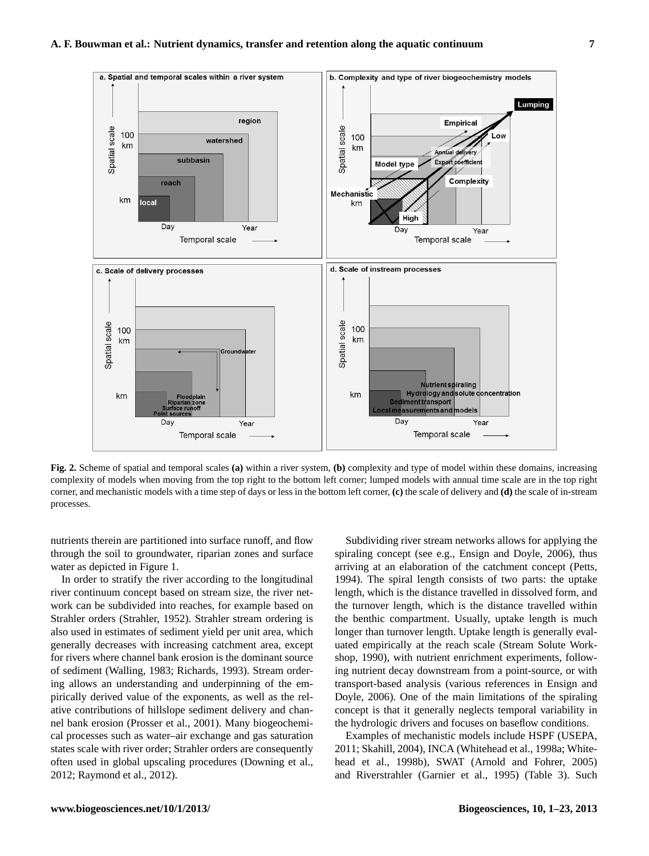

**Fig. 2.** Scheme of spatial and temporal scales **(a)** within a river system, **(b)** complexity and type of model within these domains, increasing complexity of models when moving from the top right to the bottom left corner; lumped models with annual time scale are in the top right corner, and mechanistic models with a time step of days or less in the bottom left corner, **(c)** the scale of delivery and **(d)** the scale of in-stream processes.

nutrients therein are partitioned into surface runoff, and flow through the soil to groundwater, riparian zones and surface water as depicted in Figure 1.

In order to stratify the river according to the longitudinal river continuum concept based on stream size, the river network can be subdivided into reaches, for example based on Strahler orders (Strahler, 1952). Strahler stream ordering is also used in estimates of sediment yield per unit area, which generally decreases with increasing catchment area, except for rivers where channel bank erosion is the dominant source of sediment (Walling, 1983; Richards, 1993). Stream ordering allows an understanding and underpinning of the empirically derived value of the exponents, as well as the relative contributions of hillslope sediment delivery and channel bank erosion (Prosser et al., 2001). Many biogeochemical processes such as water–air exchange and gas saturation states scale with river order; Strahler orders are consequently often used in global upscaling procedures (Downing et al., 2012; Raymond et al., 2012).

Subdividing river stream networks allows for applying the spiraling concept (see e.g., Ensign and Doyle, 2006), thus arriving at an elaboration of the catchment concept (Petts, 1994). The spiral length consists of two parts: the uptake length, which is the distance travelled in dissolved form, and the turnover length, which is the distance travelled within the benthic compartment. Usually, uptake length is much longer than turnover length. Uptake length is generally evaluated empirically at the reach scale (Stream Solute Workshop, 1990), with nutrient enrichment experiments, following nutrient decay downstream from a point-source, or with transport-based analysis (various references in Ensign and Doyle, 2006). One of the main limitations of the spiraling concept is that it generally neglects temporal variability in the hydrologic drivers and focuses on baseflow conditions.

Examples of mechanistic models include HSPF (USEPA, 2011; Skahill, 2004), INCA (Whitehead et al., 1998a; Whitehead et al., 1998b), SWAT (Arnold and Fohrer, 2005) and Riverstrahler (Garnier et al., 1995) (Table 3). Such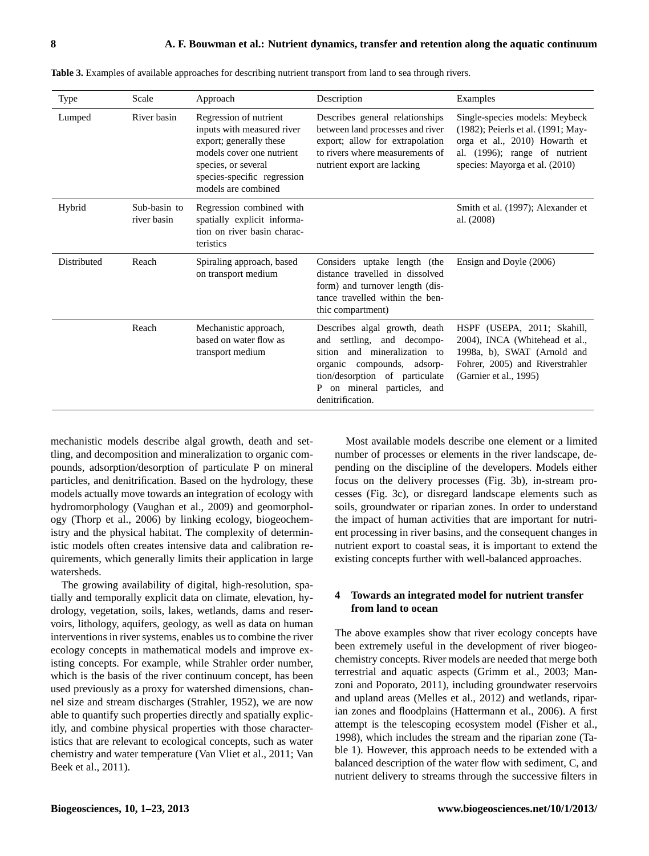| <b>Type</b> | Scale                       | Approach                                                                                                                                                                                  | Description                                                                                                                                                                                                          | Examples                                                                                                                                                                 |
|-------------|-----------------------------|-------------------------------------------------------------------------------------------------------------------------------------------------------------------------------------------|----------------------------------------------------------------------------------------------------------------------------------------------------------------------------------------------------------------------|--------------------------------------------------------------------------------------------------------------------------------------------------------------------------|
| Lumped      | River basin                 | Regression of nutrient<br>inputs with measured river<br>export; generally these<br>models cover one nutrient<br>species, or several<br>species-specific regression<br>models are combined | Describes general relationships<br>between land processes and river<br>export; allow for extrapolation<br>to rivers where measurements of<br>nutrient export are lacking                                             | Single-species models: Meybeck<br>(1982); Peierls et al. (1991; May-<br>orga et al., 2010) Howarth et<br>al. (1996); range of nutrient<br>species: Mayorga et al. (2010) |
| Hybrid      | Sub-basin to<br>river basin | Regression combined with<br>spatially explicit informa-<br>tion on river basin charac-<br>teristics                                                                                       |                                                                                                                                                                                                                      | Smith et al. (1997); Alexander et<br>al. (2008)                                                                                                                          |
| Distributed | Reach                       | Spiraling approach, based<br>on transport medium                                                                                                                                          | Considers uptake length (the<br>distance travelled in dissolved<br>form) and turnover length (dis-<br>tance travelled within the ben-<br>thic compartment)                                                           | Ensign and Doyle (2006)                                                                                                                                                  |
|             | Reach                       | Mechanistic approach,<br>based on water flow as<br>transport medium                                                                                                                       | Describes algal growth, death<br>settling, and decompo-<br>and<br>sition and mineralization to<br>organic compounds, adsorp-<br>tion/desorption of particulate<br>on mineral particles, and<br>P<br>denitrification. | HSPF (USEPA, 2011; Skahill,<br>2004), INCA (Whitehead et al.,<br>1998a, b), SWAT (Arnold and<br>Fohrer, 2005) and Riverstrahler<br>(Garnier et al., 1995)                |

**Table 3.** Examples of available approaches for describing nutrient transport from land to sea through rivers.

mechanistic models describe algal growth, death and settling, and decomposition and mineralization to organic compounds, adsorption/desorption of particulate P on mineral particles, and denitrification. Based on the hydrology, these models actually move towards an integration of ecology with hydromorphology (Vaughan et al., 2009) and geomorphology (Thorp et al., 2006) by linking ecology, biogeochemistry and the physical habitat. The complexity of deterministic models often creates intensive data and calibration requirements, which generally limits their application in large watersheds.

The growing availability of digital, high-resolution, spatially and temporally explicit data on climate, elevation, hydrology, vegetation, soils, lakes, wetlands, dams and reservoirs, lithology, aquifers, geology, as well as data on human interventions in river systems, enables us to combine the river ecology concepts in mathematical models and improve existing concepts. For example, while Strahler order number, which is the basis of the river continuum concept, has been used previously as a proxy for watershed dimensions, channel size and stream discharges (Strahler, 1952), we are now able to quantify such properties directly and spatially explicitly, and combine physical properties with those characteristics that are relevant to ecological concepts, such as water chemistry and water temperature (Van Vliet et al., 2011; Van Beek et al., 2011).

Most available models describe one element or a limited number of processes or elements in the river landscape, depending on the discipline of the developers. Models either focus on the delivery processes (Fig. 3b), in-stream processes (Fig. 3c), or disregard landscape elements such as soils, groundwater or riparian zones. In order to understand the impact of human activities that are important for nutrient processing in river basins, and the consequent changes in nutrient export to coastal seas, it is important to extend the existing concepts further with well-balanced approaches.

# **4 Towards an integrated model for nutrient transfer from land to ocean**

The above examples show that river ecology concepts have been extremely useful in the development of river biogeochemistry concepts. River models are needed that merge both terrestrial and aquatic aspects (Grimm et al., 2003; Manzoni and Poporato, 2011), including groundwater reservoirs and upland areas (Melles et al., 2012) and wetlands, riparian zones and floodplains (Hattermann et al., 2006). A first attempt is the telescoping ecosystem model (Fisher et al., 1998), which includes the stream and the riparian zone (Table 1). However, this approach needs to be extended with a balanced description of the water flow with sediment, C, and nutrient delivery to streams through the successive filters in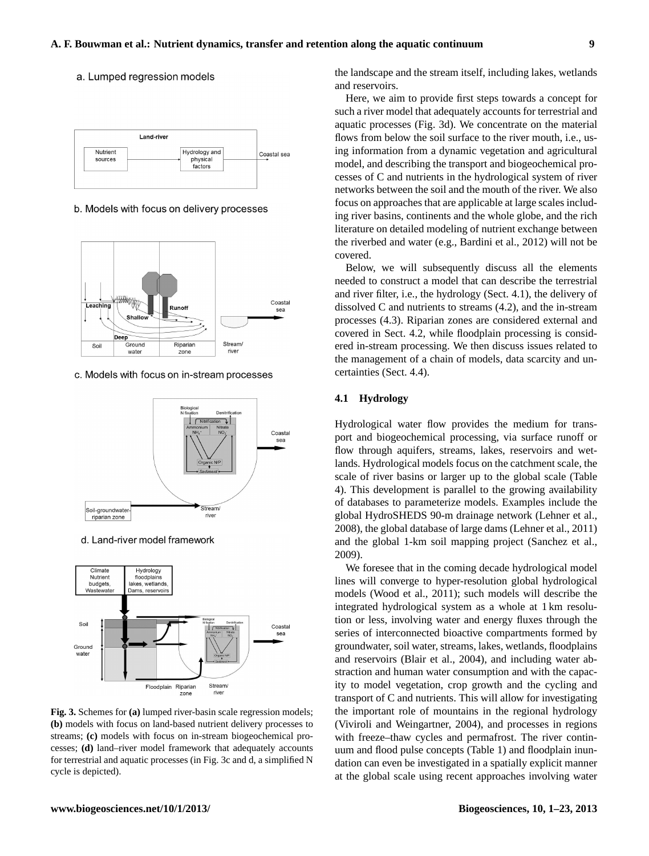## a. Lumped regression models



b. Models with focus on delivery processes



c. Models with focus on in-stream processes



d. Land-river model framework



**Fig. 3.** Schemes for **(a)** lumped river-basin scale regression models; **(b)** models with focus on land-based nutrient delivery processes to streams; **(c)** models with focus on in-stream biogeochemical processes; **(d)** land–river model framework that adequately accounts for terrestrial and aquatic processes (in Fig. 3c and d, a simplified N cycle is depicted).

the landscape and the stream itself, including lakes, wetlands and reservoirs.

Here, we aim to provide first steps towards a concept for such a river model that adequately accounts for terrestrial and aquatic processes (Fig. 3d). We concentrate on the material flows from below the soil surface to the river mouth, i.e., using information from a dynamic vegetation and agricultural model, and describing the transport and biogeochemical processes of C and nutrients in the hydrological system of river networks between the soil and the mouth of the river. We also focus on approaches that are applicable at large scales including river basins, continents and the whole globe, and the rich literature on detailed modeling of nutrient exchange between the riverbed and water (e.g., Bardini et al., 2012) will not be covered.

Below, we will subsequently discuss all the elements needed to construct a model that can describe the terrestrial and river filter, i.e., the hydrology (Sect. 4.1), the delivery of dissolved C and nutrients to streams (4.2), and the in-stream processes (4.3). Riparian zones are considered external and covered in Sect. 4.2, while floodplain processing is considered in-stream processing. We then discuss issues related to the management of a chain of models, data scarcity and uncertainties (Sect. 4.4).

#### **4.1 Hydrology**

Hydrological water flow provides the medium for transport and biogeochemical processing, via surface runoff or flow through aquifers, streams, lakes, reservoirs and wetlands. Hydrological models focus on the catchment scale, the scale of river basins or larger up to the global scale (Table 4). This development is parallel to the growing availability of databases to parameterize models. Examples include the global HydroSHEDS 90-m drainage network (Lehner et al., 2008), the global database of large dams (Lehner et al., 2011) and the global 1-km soil mapping project (Sanchez et al., 2009).

We foresee that in the coming decade hydrological model lines will converge to hyper-resolution global hydrological models (Wood et al., 2011); such models will describe the integrated hydrological system as a whole at 1 km resolution or less, involving water and energy fluxes through the series of interconnected bioactive compartments formed by groundwater, soil water, streams, lakes, wetlands, floodplains and reservoirs (Blair et al., 2004), and including water abstraction and human water consumption and with the capacity to model vegetation, crop growth and the cycling and transport of C and nutrients. This will allow for investigating the important role of mountains in the regional hydrology (Viviroli and Weingartner, 2004), and processes in regions with freeze–thaw cycles and permafrost. The river continuum and flood pulse concepts (Table 1) and floodplain inundation can even be investigated in a spatially explicit manner at the global scale using recent approaches involving water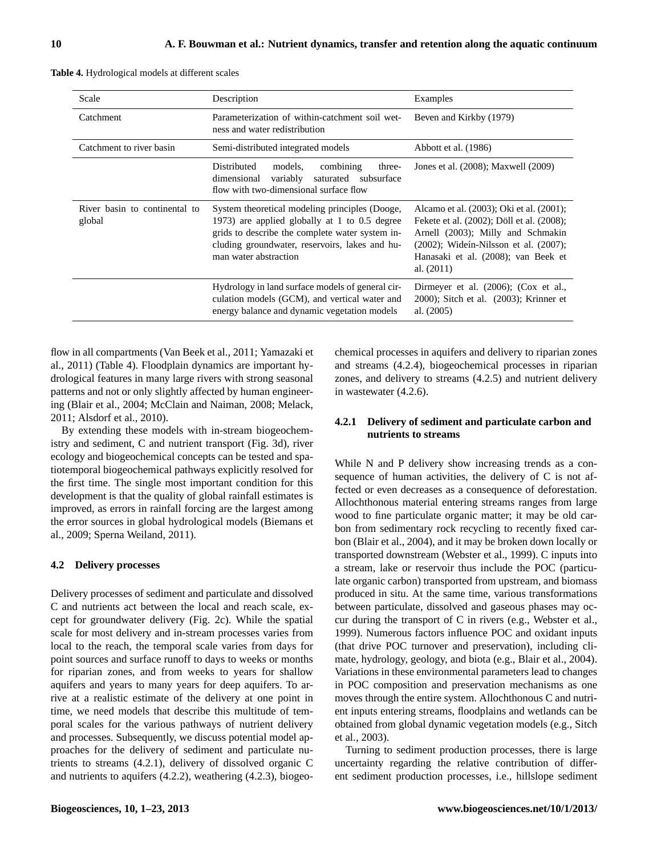| Scale                                   | Description                                                                                                                                                                                                                   | Examples                                                                                                                                                                                                                         |
|-----------------------------------------|-------------------------------------------------------------------------------------------------------------------------------------------------------------------------------------------------------------------------------|----------------------------------------------------------------------------------------------------------------------------------------------------------------------------------------------------------------------------------|
| Catchment                               | Parameterization of within-catchment soil wet-<br>ness and water redistribution                                                                                                                                               | Beven and Kirkby (1979)                                                                                                                                                                                                          |
| Catchment to river basin                | Semi-distributed integrated models                                                                                                                                                                                            | Abbott et al. (1986)                                                                                                                                                                                                             |
|                                         | Distributed<br>combining<br>models.<br>three-<br>dimensional<br>variably<br>saturated subsurface<br>flow with two-dimensional surface flow                                                                                    | Jones et al. (2008); Maxwell (2009)                                                                                                                                                                                              |
| River basin to continental to<br>global | System theoretical modeling principles (Dooge,<br>1973) are applied globally at 1 to 0.5 degree<br>grids to describe the complete water system in-<br>cluding groundwater, reservoirs, lakes and hu-<br>man water abstraction | Alcamo et al. (2003); Oki et al. (2001);<br>Fekete et al. (2002); Döll et al. (2008);<br>Arnell (2003); Milly and Schmakin<br>$(2002)$ ; Widein-Nilsson et al. $(2007)$ ;<br>Hanasaki et al. (2008); van Beek et<br>al. $(2011)$ |
|                                         | Hydrology in land surface models of general cir-<br>culation models (GCM), and vertical water and<br>energy balance and dynamic vegetation models                                                                             | Dirmeyer et al. $(2006)$ ; $(Cox et al.,$<br>$2000$ ; Sitch et al. $(2003)$ ; Krinner et<br>al. $(2005)$                                                                                                                         |

**Table 4.** Hydrological models at different scales

flow in all compartments (Van Beek et al., 2011; Yamazaki et al., 2011) (Table 4). Floodplain dynamics are important hydrological features in many large rivers with strong seasonal patterns and not or only slightly affected by human engineering (Blair et al., 2004; McClain and Naiman, 2008; Melack, 2011; Alsdorf et al., 2010).

By extending these models with in-stream biogeochemistry and sediment, C and nutrient transport (Fig. 3d), river ecology and biogeochemical concepts can be tested and spatiotemporal biogeochemical pathways explicitly resolved for the first time. The single most important condition for this development is that the quality of global rainfall estimates is improved, as errors in rainfall forcing are the largest among the error sources in global hydrological models (Biemans et al., 2009; Sperna Weiland, 2011).

## **4.2 Delivery processes**

Delivery processes of sediment and particulate and dissolved C and nutrients act between the local and reach scale, except for groundwater delivery (Fig. 2c). While the spatial scale for most delivery and in-stream processes varies from local to the reach, the temporal scale varies from days for point sources and surface runoff to days to weeks or months for riparian zones, and from weeks to years for shallow aquifers and years to many years for deep aquifers. To arrive at a realistic estimate of the delivery at one point in time, we need models that describe this multitude of temporal scales for the various pathways of nutrient delivery and processes. Subsequently, we discuss potential model approaches for the delivery of sediment and particulate nutrients to streams (4.2.1), delivery of dissolved organic C and nutrients to aquifers (4.2.2), weathering (4.2.3), biogeochemical processes in aquifers and delivery to riparian zones and streams (4.2.4), biogeochemical processes in riparian zones, and delivery to streams (4.2.5) and nutrient delivery in wastewater (4.2.6).

# **4.2.1 Delivery of sediment and particulate carbon and nutrients to streams**

While N and P delivery show increasing trends as a consequence of human activities, the delivery of C is not affected or even decreases as a consequence of deforestation. Allochthonous material entering streams ranges from large wood to fine particulate organic matter; it may be old carbon from sedimentary rock recycling to recently fixed carbon (Blair et al., 2004), and it may be broken down locally or transported downstream (Webster et al., 1999). C inputs into a stream, lake or reservoir thus include the POC (particulate organic carbon) transported from upstream, and biomass produced in situ. At the same time, various transformations between particulate, dissolved and gaseous phases may occur during the transport of C in rivers (e.g., Webster et al., 1999). Numerous factors influence POC and oxidant inputs (that drive POC turnover and preservation), including climate, hydrology, geology, and biota (e.g., Blair et al., 2004). Variations in these environmental parameters lead to changes in POC composition and preservation mechanisms as one moves through the entire system. Allochthonous C and nutrient inputs entering streams, floodplains and wetlands can be obtained from global dynamic vegetation models (e.g., Sitch et al., 2003).

Turning to sediment production processes, there is large uncertainty regarding the relative contribution of different sediment production processes, i.e., hillslope sediment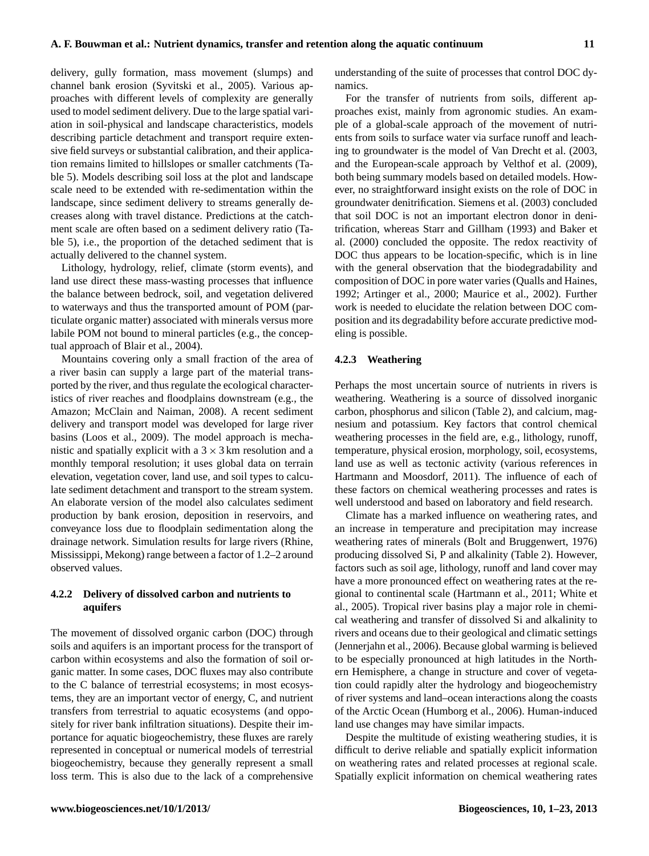delivery, gully formation, mass movement (slumps) and channel bank erosion (Syvitski et al., 2005). Various approaches with different levels of complexity are generally used to model sediment delivery. Due to the large spatial variation in soil-physical and landscape characteristics, models describing particle detachment and transport require extensive field surveys or substantial calibration, and their application remains limited to hillslopes or smaller catchments (Table 5). Models describing soil loss at the plot and landscape scale need to be extended with re-sedimentation within the landscape, since sediment delivery to streams generally decreases along with travel distance. Predictions at the catchment scale are often based on a sediment delivery ratio (Table 5), i.e., the proportion of the detached sediment that is actually delivered to the channel system.

Lithology, hydrology, relief, climate (storm events), and land use direct these mass-wasting processes that influence the balance between bedrock, soil, and vegetation delivered to waterways and thus the transported amount of POM (particulate organic matter) associated with minerals versus more labile POM not bound to mineral particles (e.g., the conceptual approach of Blair et al., 2004).

Mountains covering only a small fraction of the area of a river basin can supply a large part of the material transported by the river, and thus regulate the ecological characteristics of river reaches and floodplains downstream (e.g., the Amazon; McClain and Naiman, 2008). A recent sediment delivery and transport model was developed for large river basins (Loos et al., 2009). The model approach is mechanistic and spatially explicit with a  $3 \times 3$  km resolution and a monthly temporal resolution; it uses global data on terrain elevation, vegetation cover, land use, and soil types to calculate sediment detachment and transport to the stream system. An elaborate version of the model also calculates sediment production by bank erosion, deposition in reservoirs, and conveyance loss due to floodplain sedimentation along the drainage network. Simulation results for large rivers (Rhine, Mississippi, Mekong) range between a factor of 1.2–2 around observed values.

# **4.2.2 Delivery of dissolved carbon and nutrients to aquifers**

The movement of dissolved organic carbon (DOC) through soils and aquifers is an important process for the transport of carbon within ecosystems and also the formation of soil organic matter. In some cases, DOC fluxes may also contribute to the C balance of terrestrial ecosystems; in most ecosystems, they are an important vector of energy, C, and nutrient transfers from terrestrial to aquatic ecosystems (and oppositely for river bank infiltration situations). Despite their importance for aquatic biogeochemistry, these fluxes are rarely represented in conceptual or numerical models of terrestrial biogeochemistry, because they generally represent a small loss term. This is also due to the lack of a comprehensive understanding of the suite of processes that control DOC dynamics.

For the transfer of nutrients from soils, different approaches exist, mainly from agronomic studies. An example of a global-scale approach of the movement of nutrients from soils to surface water via surface runoff and leaching to groundwater is the model of Van Drecht et al. (2003, and the European-scale approach by Velthof et al. (2009), both being summary models based on detailed models. However, no straightforward insight exists on the role of DOC in groundwater denitrification. Siemens et al. (2003) concluded that soil DOC is not an important electron donor in denitrification, whereas Starr and Gillham (1993) and Baker et al. (2000) concluded the opposite. The redox reactivity of DOC thus appears to be location-specific, which is in line with the general observation that the biodegradability and composition of DOC in pore water varies (Qualls and Haines, 1992; Artinger et al., 2000; Maurice et al., 2002). Further work is needed to elucidate the relation between DOC composition and its degradability before accurate predictive modeling is possible.

# **4.2.3 Weathering**

Perhaps the most uncertain source of nutrients in rivers is weathering. Weathering is a source of dissolved inorganic carbon, phosphorus and silicon (Table 2), and calcium, magnesium and potassium. Key factors that control chemical weathering processes in the field are, e.g., lithology, runoff, temperature, physical erosion, morphology, soil, ecosystems, land use as well as tectonic activity (various references in Hartmann and Moosdorf, 2011). The influence of each of these factors on chemical weathering processes and rates is well understood and based on laboratory and field research.

Climate has a marked influence on weathering rates, and an increase in temperature and precipitation may increase weathering rates of minerals (Bolt and Bruggenwert, 1976) producing dissolved Si, P and alkalinity (Table 2). However, factors such as soil age, lithology, runoff and land cover may have a more pronounced effect on weathering rates at the regional to continental scale (Hartmann et al., 2011; White et al., 2005). Tropical river basins play a major role in chemical weathering and transfer of dissolved Si and alkalinity to rivers and oceans due to their geological and climatic settings (Jennerjahn et al., 2006). Because global warming is believed to be especially pronounced at high latitudes in the Northern Hemisphere, a change in structure and cover of vegetation could rapidly alter the hydrology and biogeochemistry of river systems and land–ocean interactions along the coasts of the Arctic Ocean (Humborg et al., 2006). Human-induced land use changes may have similar impacts.

Despite the multitude of existing weathering studies, it is difficult to derive reliable and spatially explicit information on weathering rates and related processes at regional scale. Spatially explicit information on chemical weathering rates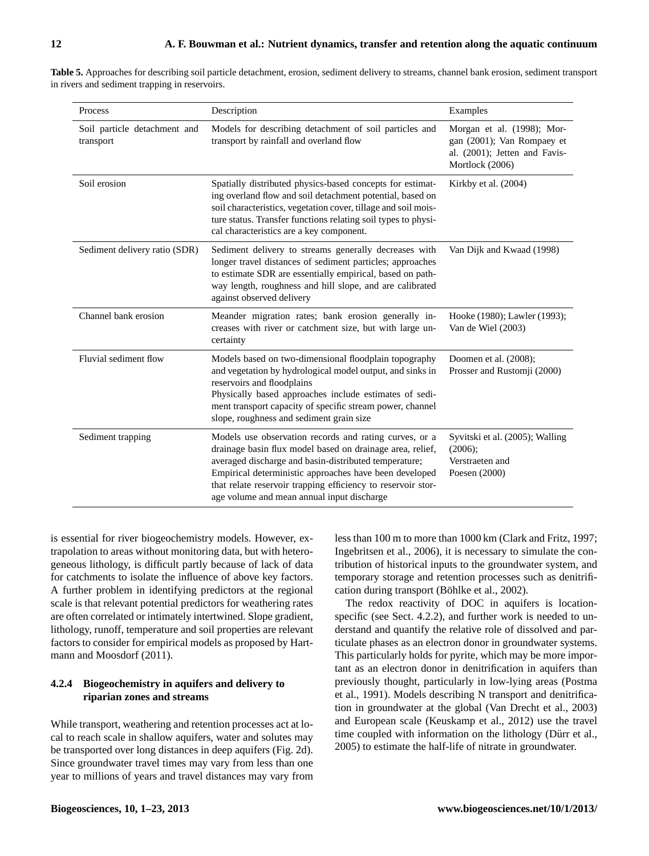| ٧ | ۰,<br>٦<br>٠<br>٠ |
|---|-------------------|
|   |                   |

| Table 5. Approaches for describing soil particle detachment, erosion, sediment delivery to streams, channel bank erosion, sediment transport |  |  |
|----------------------------------------------------------------------------------------------------------------------------------------------|--|--|
| in rivers and sediment trapping in reservoirs.                                                                                               |  |  |

| Process                                   | Description                                                                                                                                                                                                                                                                                                                                          | Examples                                                                                                     |
|-------------------------------------------|------------------------------------------------------------------------------------------------------------------------------------------------------------------------------------------------------------------------------------------------------------------------------------------------------------------------------------------------------|--------------------------------------------------------------------------------------------------------------|
| Soil particle detachment and<br>transport | Models for describing detachment of soil particles and<br>transport by rainfall and overland flow                                                                                                                                                                                                                                                    | Morgan et al. (1998); Mor-<br>gan (2001); Van Rompaey et<br>al. (2001); Jetten and Favis-<br>Mortlock (2006) |
| Soil erosion                              | Spatially distributed physics-based concepts for estimat-<br>ing overland flow and soil detachment potential, based on<br>soil characteristics, vegetation cover, tillage and soil mois-<br>ture status. Transfer functions relating soil types to physi-<br>cal characteristics are a key component.                                                | Kirkby et al. (2004)                                                                                         |
| Sediment delivery ratio (SDR)             | Sediment delivery to streams generally decreases with<br>longer travel distances of sediment particles; approaches<br>to estimate SDR are essentially empirical, based on path-<br>way length, roughness and hill slope, and are calibrated<br>against observed delivery                                                                             | Van Dijk and Kwaad (1998)                                                                                    |
| Channel bank erosion                      | Meander migration rates; bank erosion generally in-<br>creases with river or catchment size, but with large un-<br>certainty                                                                                                                                                                                                                         | Hooke (1980); Lawler (1993);<br>Van de Wiel (2003)                                                           |
| Fluvial sediment flow                     | Models based on two-dimensional floodplain topography<br>and vegetation by hydrological model output, and sinks in<br>reservoirs and floodplains<br>Physically based approaches include estimates of sedi-<br>ment transport capacity of specific stream power, channel<br>slope, roughness and sediment grain size                                  | Doomen et al. (2008);<br>Prosser and Rustomji (2000)                                                         |
| Sediment trapping                         | Models use observation records and rating curves, or a<br>drainage basin flux model based on drainage area, relief,<br>averaged discharge and basin-distributed temperature;<br>Empirical deterministic approaches have been developed<br>that relate reservoir trapping efficiency to reservoir stor-<br>age volume and mean annual input discharge | Syvitski et al. (2005); Walling<br>$(2006)$ ;<br>Verstraeten and<br>Poesen (2000)                            |

is essential for river biogeochemistry models. However, extrapolation to areas without monitoring data, but with heterogeneous lithology, is difficult partly because of lack of data for catchments to isolate the influence of above key factors. A further problem in identifying predictors at the regional scale is that relevant potential predictors for weathering rates are often correlated or intimately intertwined. Slope gradient, lithology, runoff, temperature and soil properties are relevant factors to consider for empirical models as proposed by Hartmann and Moosdorf (2011).

# **4.2.4 Biogeochemistry in aquifers and delivery to riparian zones and streams**

While transport, weathering and retention processes act at local to reach scale in shallow aquifers, water and solutes may be transported over long distances in deep aquifers (Fig. 2d). Since groundwater travel times may vary from less than one year to millions of years and travel distances may vary from less than 100 m to more than 1000 km (Clark and Fritz, 1997; Ingebritsen et al., 2006), it is necessary to simulate the contribution of historical inputs to the groundwater system, and temporary storage and retention processes such as denitrification during transport (Böhlke et al., 2002).

The redox reactivity of DOC in aquifers is locationspecific (see Sect. 4.2.2), and further work is needed to understand and quantify the relative role of dissolved and particulate phases as an electron donor in groundwater systems. This particularly holds for pyrite, which may be more important as an electron donor in denitrification in aquifers than previously thought, particularly in low-lying areas (Postma et al., 1991). Models describing N transport and denitrification in groundwater at the global (Van Drecht et al., 2003) and European scale (Keuskamp et al., 2012) use the travel time coupled with information on the lithology (Dürr et al., 2005) to estimate the half-life of nitrate in groundwater.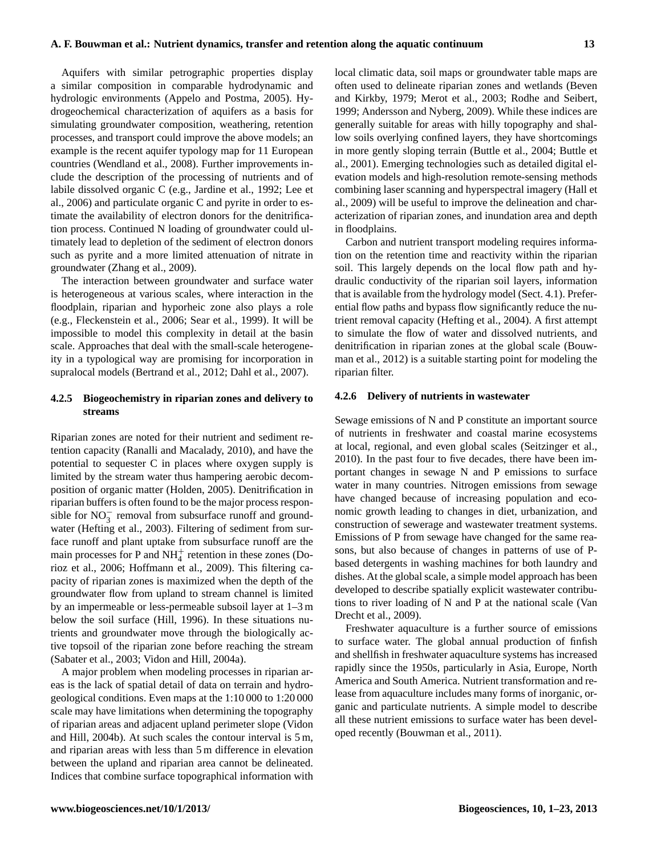Aquifers with similar petrographic properties display a similar composition in comparable hydrodynamic and hydrologic environments (Appelo and Postma, 2005). Hydrogeochemical characterization of aquifers as a basis for simulating groundwater composition, weathering, retention processes, and transport could improve the above models; an example is the recent aquifer typology map for 11 European countries (Wendland et al., 2008). Further improvements include the description of the processing of nutrients and of labile dissolved organic C (e.g., Jardine et al., 1992; Lee et al., 2006) and particulate organic C and pyrite in order to estimate the availability of electron donors for the denitrification process. Continued N loading of groundwater could ultimately lead to depletion of the sediment of electron donors such as pyrite and a more limited attenuation of nitrate in groundwater (Zhang et al., 2009).

The interaction between groundwater and surface water is heterogeneous at various scales, where interaction in the floodplain, riparian and hyporheic zone also plays a role (e.g., Fleckenstein et al., 2006; Sear et al., 1999). It will be impossible to model this complexity in detail at the basin scale. Approaches that deal with the small-scale heterogeneity in a typological way are promising for incorporation in supralocal models (Bertrand et al., 2012; Dahl et al., 2007).

# **4.2.5 Biogeochemistry in riparian zones and delivery to streams**

Riparian zones are noted for their nutrient and sediment retention capacity (Ranalli and Macalady, 2010), and have the potential to sequester C in places where oxygen supply is limited by the stream water thus hampering aerobic decomposition of organic matter (Holden, 2005). Denitrification in riparian buffers is often found to be the major process responsible for  $NO_3^-$  removal from subsurface runoff and groundwater (Hefting et al., 2003). Filtering of sediment from surface runoff and plant uptake from subsurface runoff are the main processes for P and  $NH<sub>4</sub><sup>+</sup>$  retention in these zones (Dorioz et al., 2006; Hoffmann et al., 2009). This filtering capacity of riparian zones is maximized when the depth of the groundwater flow from upland to stream channel is limited by an impermeable or less-permeable subsoil layer at 1–3 m below the soil surface (Hill, 1996). In these situations nutrients and groundwater move through the biologically active topsoil of the riparian zone before reaching the stream (Sabater et al., 2003; Vidon and Hill, 2004a).

A major problem when modeling processes in riparian areas is the lack of spatial detail of data on terrain and hydrogeological conditions. Even maps at the 1:10 000 to 1:20 000 scale may have limitations when determining the topography of riparian areas and adjacent upland perimeter slope (Vidon and Hill, 2004b). At such scales the contour interval is 5 m, and riparian areas with less than 5 m difference in elevation between the upland and riparian area cannot be delineated. Indices that combine surface topographical information with local climatic data, soil maps or groundwater table maps are often used to delineate riparian zones and wetlands (Beven and Kirkby, 1979; Merot et al., 2003; Rodhe and Seibert, 1999; Andersson and Nyberg, 2009). While these indices are generally suitable for areas with hilly topography and shallow soils overlying confined layers, they have shortcomings in more gently sloping terrain (Buttle et al., 2004; Buttle et al., 2001). Emerging technologies such as detailed digital elevation models and high-resolution remote-sensing methods combining laser scanning and hyperspectral imagery (Hall et al., 2009) will be useful to improve the delineation and characterization of riparian zones, and inundation area and depth in floodplains.

Carbon and nutrient transport modeling requires information on the retention time and reactivity within the riparian soil. This largely depends on the local flow path and hydraulic conductivity of the riparian soil layers, information that is available from the hydrology model (Sect. 4.1). Preferential flow paths and bypass flow significantly reduce the nutrient removal capacity (Hefting et al., 2004). A first attempt to simulate the flow of water and dissolved nutrients, and denitrification in riparian zones at the global scale (Bouwman et al., 2012) is a suitable starting point for modeling the riparian filter.

# **4.2.6 Delivery of nutrients in wastewater**

Sewage emissions of N and P constitute an important source of nutrients in freshwater and coastal marine ecosystems at local, regional, and even global scales (Seitzinger et al., 2010). In the past four to five decades, there have been important changes in sewage N and P emissions to surface water in many countries. Nitrogen emissions from sewage have changed because of increasing population and economic growth leading to changes in diet, urbanization, and construction of sewerage and wastewater treatment systems. Emissions of P from sewage have changed for the same reasons, but also because of changes in patterns of use of Pbased detergents in washing machines for both laundry and dishes. At the global scale, a simple model approach has been developed to describe spatially explicit wastewater contributions to river loading of N and P at the national scale (Van Drecht et al., 2009).

Freshwater aquaculture is a further source of emissions to surface water. The global annual production of finfish and shellfish in freshwater aquaculture systems has increased rapidly since the 1950s, particularly in Asia, Europe, North America and South America. Nutrient transformation and release from aquaculture includes many forms of inorganic, organic and particulate nutrients. A simple model to describe all these nutrient emissions to surface water has been developed recently (Bouwman et al., 2011).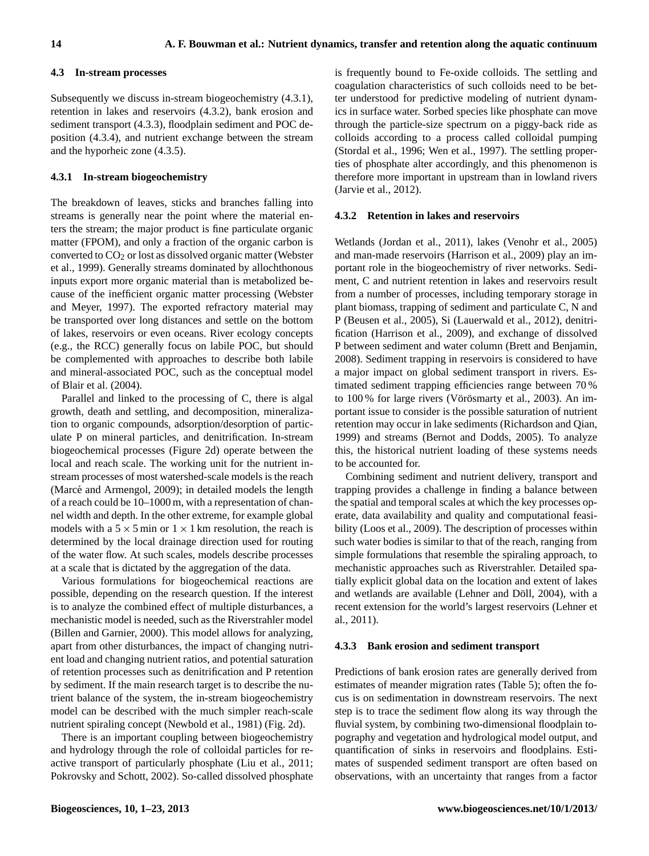# **4.3 In-stream processes**

Subsequently we discuss in-stream biogeochemistry (4.3.1), retention in lakes and reservoirs (4.3.2), bank erosion and sediment transport (4.3.3), floodplain sediment and POC deposition (4.3.4), and nutrient exchange between the stream and the hyporheic zone (4.3.5).

# **4.3.1 In-stream biogeochemistry**

The breakdown of leaves, sticks and branches falling into streams is generally near the point where the material enters the stream; the major product is fine particulate organic matter (FPOM), and only a fraction of the organic carbon is converted to  $CO<sub>2</sub>$  or lost as dissolved organic matter (Webster et al., 1999). Generally streams dominated by allochthonous inputs export more organic material than is metabolized because of the inefficient organic matter processing (Webster and Meyer, 1997). The exported refractory material may be transported over long distances and settle on the bottom of lakes, reservoirs or even oceans. River ecology concepts (e.g., the RCC) generally focus on labile POC, but should be complemented with approaches to describe both labile and mineral-associated POC, such as the conceptual model of Blair et al. (2004).

Parallel and linked to the processing of C, there is algal growth, death and settling, and decomposition, mineralization to organic compounds, adsorption/desorption of particulate P on mineral particles, and denitrification. In-stream biogeochemical processes (Figure 2d) operate between the local and reach scale. The working unit for the nutrient instream processes of most watershed-scale models is the reach (Marcé and Armengol, 2009); in detailed models the length of a reach could be 10–1000 m, with a representation of channel width and depth. In the other extreme, for example global models with a  $5 \times 5$  min or  $1 \times 1$  km resolution, the reach is determined by the local drainage direction used for routing of the water flow. At such scales, models describe processes at a scale that is dictated by the aggregation of the data.

Various formulations for biogeochemical reactions are possible, depending on the research question. If the interest is to analyze the combined effect of multiple disturbances, a mechanistic model is needed, such as the Riverstrahler model (Billen and Garnier, 2000). This model allows for analyzing, apart from other disturbances, the impact of changing nutrient load and changing nutrient ratios, and potential saturation of retention processes such as denitrification and P retention by sediment. If the main research target is to describe the nutrient balance of the system, the in-stream biogeochemistry model can be described with the much simpler reach-scale nutrient spiraling concept (Newbold et al., 1981) (Fig. 2d).

There is an important coupling between biogeochemistry and hydrology through the role of colloidal particles for reactive transport of particularly phosphate (Liu et al., 2011; Pokrovsky and Schott, 2002). So-called dissolved phosphate is frequently bound to Fe-oxide colloids. The settling and coagulation characteristics of such colloids need to be better understood for predictive modeling of nutrient dynamics in surface water. Sorbed species like phosphate can move through the particle-size spectrum on a piggy-back ride as colloids according to a process called colloidal pumping (Stordal et al., 1996; Wen et al., 1997). The settling properties of phosphate alter accordingly, and this phenomenon is therefore more important in upstream than in lowland rivers (Jarvie et al., 2012).

## **4.3.2 Retention in lakes and reservoirs**

Wetlands (Jordan et al., 2011), lakes (Venohr et al., 2005) and man-made reservoirs (Harrison et al., 2009) play an important role in the biogeochemistry of river networks. Sediment, C and nutrient retention in lakes and reservoirs result from a number of processes, including temporary storage in plant biomass, trapping of sediment and particulate C, N and P (Beusen et al., 2005), Si (Lauerwald et al., 2012), denitrification (Harrison et al., 2009), and exchange of dissolved P between sediment and water column (Brett and Benjamin, 2008). Sediment trapping in reservoirs is considered to have a major impact on global sediment transport in rivers. Estimated sediment trapping efficiencies range between 70 % to 100 % for large rivers (Vörösmarty et al., 2003). An important issue to consider is the possible saturation of nutrient retention may occur in lake sediments (Richardson and Qian, 1999) and streams (Bernot and Dodds, 2005). To analyze this, the historical nutrient loading of these systems needs to be accounted for.

Combining sediment and nutrient delivery, transport and trapping provides a challenge in finding a balance between the spatial and temporal scales at which the key processes operate, data availability and quality and computational feasibility (Loos et al., 2009). The description of processes within such water bodies is similar to that of the reach, ranging from simple formulations that resemble the spiraling approach, to mechanistic approaches such as Riverstrahler. Detailed spatially explicit global data on the location and extent of lakes and wetlands are available (Lehner and Döll, 2004), with a recent extension for the world's largest reservoirs (Lehner et al., 2011).

#### **4.3.3 Bank erosion and sediment transport**

Predictions of bank erosion rates are generally derived from estimates of meander migration rates (Table 5); often the focus is on sedimentation in downstream reservoirs. The next step is to trace the sediment flow along its way through the fluvial system, by combining two-dimensional floodplain topography and vegetation and hydrological model output, and quantification of sinks in reservoirs and floodplains. Estimates of suspended sediment transport are often based on observations, with an uncertainty that ranges from a factor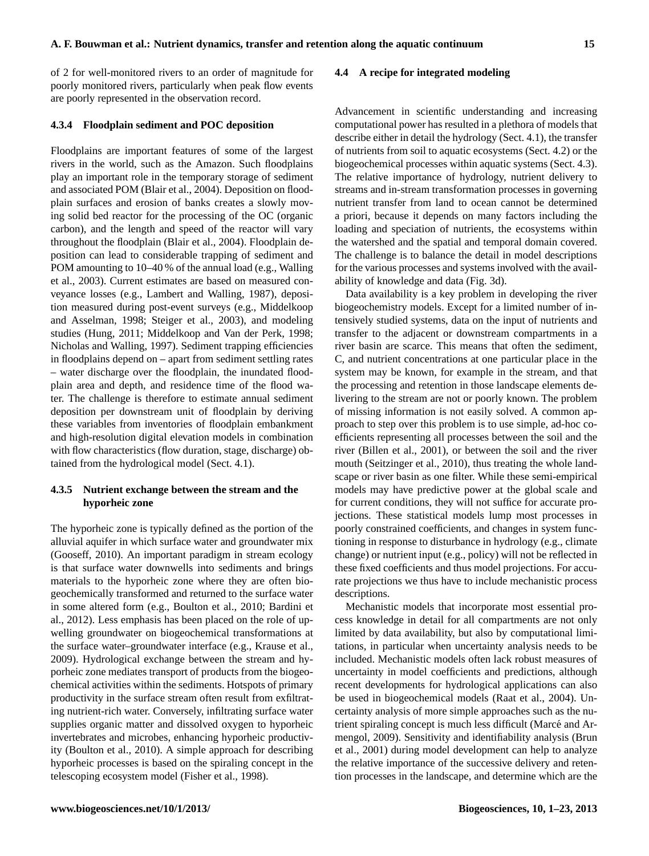of 2 for well-monitored rivers to an order of magnitude for poorly monitored rivers, particularly when peak flow events are poorly represented in the observation record.

#### **4.3.4 Floodplain sediment and POC deposition**

Floodplains are important features of some of the largest rivers in the world, such as the Amazon. Such floodplains play an important role in the temporary storage of sediment and associated POM (Blair et al., 2004). Deposition on floodplain surfaces and erosion of banks creates a slowly moving solid bed reactor for the processing of the OC (organic carbon), and the length and speed of the reactor will vary throughout the floodplain (Blair et al., 2004). Floodplain deposition can lead to considerable trapping of sediment and POM amounting to 10–40 % of the annual load (e.g., Walling et al., 2003). Current estimates are based on measured conveyance losses (e.g., Lambert and Walling, 1987), deposition measured during post-event surveys (e.g., Middelkoop and Asselman, 1998; Steiger et al., 2003), and modeling studies (Hung, 2011; Middelkoop and Van der Perk, 1998; Nicholas and Walling, 1997). Sediment trapping efficiencies in floodplains depend on – apart from sediment settling rates – water discharge over the floodplain, the inundated floodplain area and depth, and residence time of the flood water. The challenge is therefore to estimate annual sediment deposition per downstream unit of floodplain by deriving these variables from inventories of floodplain embankment and high-resolution digital elevation models in combination with flow characteristics (flow duration, stage, discharge) obtained from the hydrological model (Sect. 4.1).

# **4.3.5 Nutrient exchange between the stream and the hyporheic zone**

The hyporheic zone is typically defined as the portion of the alluvial aquifer in which surface water and groundwater mix (Gooseff, 2010). An important paradigm in stream ecology is that surface water downwells into sediments and brings materials to the hyporheic zone where they are often biogeochemically transformed and returned to the surface water in some altered form (e.g., Boulton et al., 2010; Bardini et al., 2012). Less emphasis has been placed on the role of upwelling groundwater on biogeochemical transformations at the surface water–groundwater interface (e.g., Krause et al., 2009). Hydrological exchange between the stream and hyporheic zone mediates transport of products from the biogeochemical activities within the sediments. Hotspots of primary productivity in the surface stream often result from exfiltrating nutrient-rich water. Conversely, infiltrating surface water supplies organic matter and dissolved oxygen to hyporheic invertebrates and microbes, enhancing hyporheic productivity (Boulton et al., 2010). A simple approach for describing hyporheic processes is based on the spiraling concept in the telescoping ecosystem model (Fisher et al., 1998).

## **4.4 A recipe for integrated modeling**

Advancement in scientific understanding and increasing computational power has resulted in a plethora of models that describe either in detail the hydrology (Sect. 4.1), the transfer of nutrients from soil to aquatic ecosystems (Sect. 4.2) or the biogeochemical processes within aquatic systems (Sect. 4.3). The relative importance of hydrology, nutrient delivery to streams and in-stream transformation processes in governing nutrient transfer from land to ocean cannot be determined a priori, because it depends on many factors including the loading and speciation of nutrients, the ecosystems within the watershed and the spatial and temporal domain covered. The challenge is to balance the detail in model descriptions for the various processes and systems involved with the availability of knowledge and data (Fig. 3d).

Data availability is a key problem in developing the river biogeochemistry models. Except for a limited number of intensively studied systems, data on the input of nutrients and transfer to the adjacent or downstream compartments in a river basin are scarce. This means that often the sediment, C, and nutrient concentrations at one particular place in the system may be known, for example in the stream, and that the processing and retention in those landscape elements delivering to the stream are not or poorly known. The problem of missing information is not easily solved. A common approach to step over this problem is to use simple, ad-hoc coefficients representing all processes between the soil and the river (Billen et al., 2001), or between the soil and the river mouth (Seitzinger et al., 2010), thus treating the whole landscape or river basin as one filter. While these semi-empirical models may have predictive power at the global scale and for current conditions, they will not suffice for accurate projections. These statistical models lump most processes in poorly constrained coefficients, and changes in system functioning in response to disturbance in hydrology (e.g., climate change) or nutrient input (e.g., policy) will not be reflected in these fixed coefficients and thus model projections. For accurate projections we thus have to include mechanistic process descriptions.

Mechanistic models that incorporate most essential process knowledge in detail for all compartments are not only limited by data availability, but also by computational limitations, in particular when uncertainty analysis needs to be included. Mechanistic models often lack robust measures of uncertainty in model coefficients and predictions, although recent developments for hydrological applications can also be used in biogeochemical models (Raat et al., 2004). Uncertainty analysis of more simple approaches such as the nutrient spiraling concept is much less difficult (Marce and Ar- ´ mengol, 2009). Sensitivity and identifiability analysis (Brun et al., 2001) during model development can help to analyze the relative importance of the successive delivery and retention processes in the landscape, and determine which are the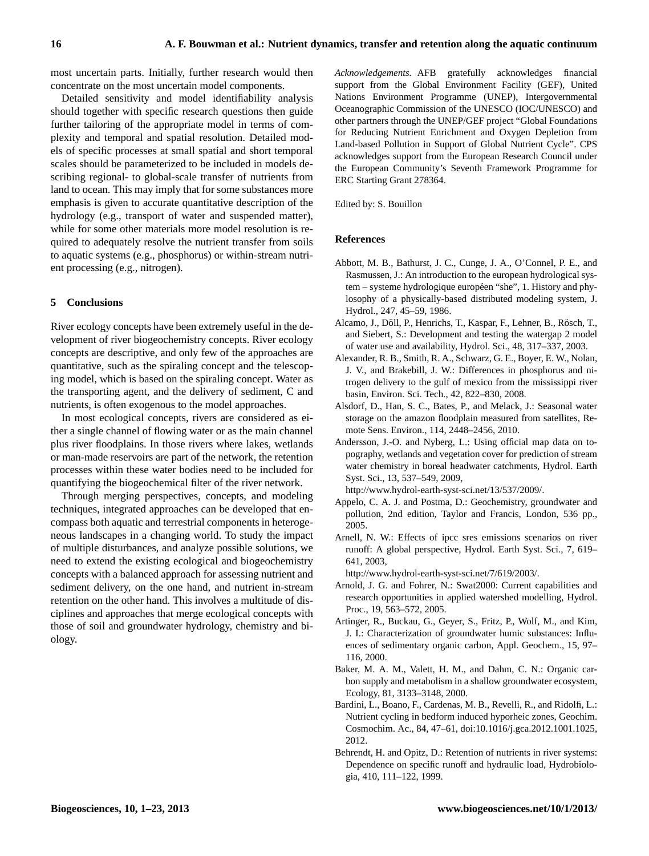most uncertain parts. Initially, further research would then concentrate on the most uncertain model components.

Detailed sensitivity and model identifiability analysis should together with specific research questions then guide further tailoring of the appropriate model in terms of complexity and temporal and spatial resolution. Detailed models of specific processes at small spatial and short temporal scales should be parameterized to be included in models describing regional- to global-scale transfer of nutrients from land to ocean. This may imply that for some substances more emphasis is given to accurate quantitative description of the hydrology (e.g., transport of water and suspended matter), while for some other materials more model resolution is required to adequately resolve the nutrient transfer from soils to aquatic systems (e.g., phosphorus) or within-stream nutrient processing (e.g., nitrogen).

# **5 Conclusions**

River ecology concepts have been extremely useful in the development of river biogeochemistry concepts. River ecology concepts are descriptive, and only few of the approaches are quantitative, such as the spiraling concept and the telescoping model, which is based on the spiraling concept. Water as the transporting agent, and the delivery of sediment, C and nutrients, is often exogenous to the model approaches.

In most ecological concepts, rivers are considered as either a single channel of flowing water or as the main channel plus river floodplains. In those rivers where lakes, wetlands or man-made reservoirs are part of the network, the retention processes within these water bodies need to be included for quantifying the biogeochemical filter of the river network.

Through merging perspectives, concepts, and modeling techniques, integrated approaches can be developed that encompass both aquatic and terrestrial components in heterogeneous landscapes in a changing world. To study the impact of multiple disturbances, and analyze possible solutions, we need to extend the existing ecological and biogeochemistry concepts with a balanced approach for assessing nutrient and sediment delivery, on the one hand, and nutrient in-stream retention on the other hand. This involves a multitude of disciplines and approaches that merge ecological concepts with those of soil and groundwater hydrology, chemistry and biology.

*Acknowledgements.* AFB gratefully acknowledges financial support from the Global Environment Facility (GEF), United Nations Environment Programme (UNEP), Intergovernmental Oceanographic Commission of the UNESCO (IOC/UNESCO) and other partners through the UNEP/GEF project "Global Foundations for Reducing Nutrient Enrichment and Oxygen Depletion from Land-based Pollution in Support of Global Nutrient Cycle". CPS acknowledges support from the European Research Council under the European Community's Seventh Framework Programme for ERC Starting Grant 278364.

Edited by: S. Bouillon

# **References**

- Abbott, M. B., Bathurst, J. C., Cunge, J. A., O'Connel, P. E., and Rasmussen, J.: An introduction to the european hydrological system – systeme hydrologique européen "she", 1. History and phylosophy of a physically-based distributed modeling system, J. Hydrol., 247, 45–59, 1986.
- Alcamo, J., Döll, P., Henrichs, T., Kaspar, F., Lehner, B., Rösch, T., and Siebert, S.: Development and testing the watergap 2 model of water use and availability, Hydrol. Sci., 48, 317–337, 2003.
- Alexander, R. B., Smith, R. A., Schwarz, G. E., Boyer, E. W., Nolan, J. V., and Brakebill, J. W.: Differences in phosphorus and nitrogen delivery to the gulf of mexico from the mississippi river basin, Environ. Sci. Tech., 42, 822–830, 2008.
- Alsdorf, D., Han, S. C., Bates, P., and Melack, J.: Seasonal water storage on the amazon floodplain measured from satellites, Remote Sens. Environ., 114, 2448–2456, 2010.
- Andersson, J.-O. and Nyberg, L.: Using official map data on topography, wetlands and vegetation cover for prediction of stream water chemistry in boreal headwater catchments, Hydrol. Earth Syst. Sci., 13, 537–549, 2009,

[http://www.hydrol-earth-syst-sci.net/13/537/2009/.](http://www.hydrol-earth-syst-sci.net/13/537/2009/)

- Appelo, C. A. J. and Postma, D.: Geochemistry, groundwater and pollution, 2nd edition, Taylor and Francis, London, 536 pp., 2005.
- Arnell, N. W.: Effects of ipcc sres emissions scenarios on river runoff: A global perspective, Hydrol. Earth Syst. Sci., 7, 619– 641, 2003,

[http://www.hydrol-earth-syst-sci.net/7/619/2003/.](http://www.hydrol-earth-syst-sci.net/7/619/2003/)

- Arnold, J. G. and Fohrer, N.: Swat2000: Current capabilities and research opportunities in applied watershed modelling, Hydrol. Proc., 19, 563–572, 2005.
- Artinger, R., Buckau, G., Geyer, S., Fritz, P., Wolf, M., and Kim, J. I.: Characterization of groundwater humic substances: Influences of sedimentary organic carbon, Appl. Geochem., 15, 97– 116, 2000.
- Baker, M. A. M., Valett, H. M., and Dahm, C. N.: Organic carbon supply and metabolism in a shallow groundwater ecosystem, Ecology, 81, 3133–3148, 2000.
- Bardini, L., Boano, F., Cardenas, M. B., Revelli, R., and Ridolfi, L.: Nutrient cycling in bedform induced hyporheic zones, Geochim. Cosmochim. Ac., 84, 47–61, [doi:10.1016/j.gca.2012.1001.1025,](http://dx.doi.org/10.1016/j.gca.2012.1001.1025) 2012.
- Behrendt, H. and Opitz, D.: Retention of nutrients in river systems: Dependence on specific runoff and hydraulic load, Hydrobiologia, 410, 111–122, 1999.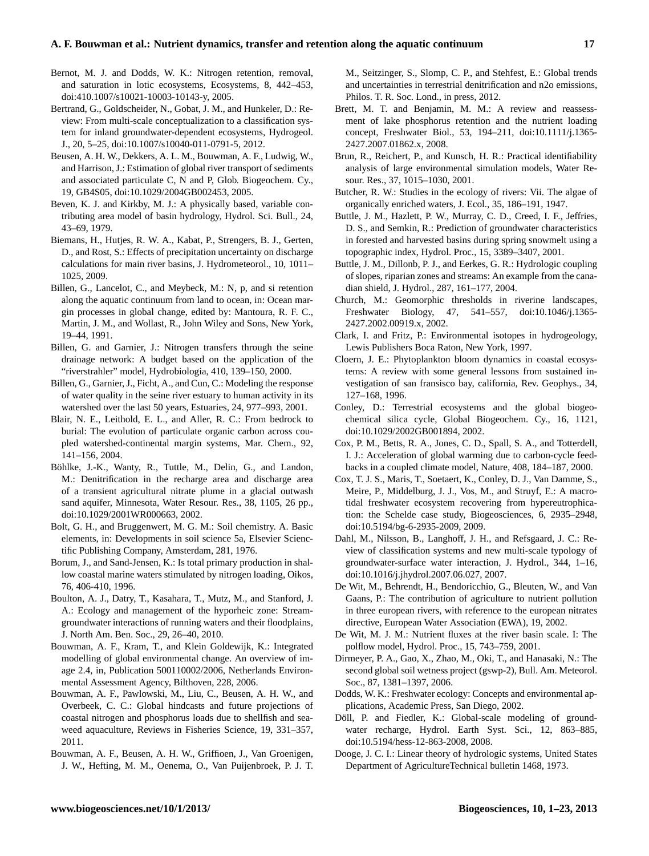#### **A. F. Bouwman et al.: Nutrient dynamics, transfer and retention along the aquatic continuum 17**

- Bernot, M. J. and Dodds, W. K.: Nitrogen retention, removal, and saturation in lotic ecosystems, Ecosystems, 8, 442–453, doi:410.1007/s10021-10003-10143-y, 2005.
- Bertrand, G., Goldscheider, N., Gobat, J. M., and Hunkeler, D.: Review: From multi-scale conceptualization to a classification system for inland groundwater-dependent ecosystems, Hydrogeol. J., 20, 5–25, [doi:10.1007/s10040-011-0791-5,](http://dx.doi.org/10.1007/s10040-011-0791-5) 2012.
- Beusen, A. H. W., Dekkers, A. L. M., Bouwman, A. F., Ludwig, W., and Harrison, J.: Estimation of global river transport of sediments and associated particulate C, N and P, Glob. Biogeochem. Cy., 19, GB4S05, [doi:10.1029/2004GB002453,](http://dx.doi.org/10.1029/2004GB002453) 2005.
- Beven, K. J. and Kirkby, M. J.: A physically based, variable contributing area model of basin hydrology, Hydrol. Sci. Bull., 24, 43–69, 1979.
- Biemans, H., Hutjes, R. W. A., Kabat, P., Strengers, B. J., Gerten, D., and Rost, S.: Effects of precipitation uncertainty on discharge calculations for main river basins, J. Hydrometeorol., 10, 1011– 1025, 2009.
- Billen, G., Lancelot, C., and Meybeck, M.: N, p, and si retention along the aquatic continuum from land to ocean, in: Ocean margin processes in global change, edited by: Mantoura, R. F. C., Martin, J. M., and Wollast, R., John Wiley and Sons, New York, 19–44, 1991.
- Billen, G. and Garnier, J.: Nitrogen transfers through the seine drainage network: A budget based on the application of the "riverstrahler" model, Hydrobiologia, 410, 139–150, 2000.
- Billen, G., Garnier, J., Ficht, A., and Cun, C.: Modeling the response of water quality in the seine river estuary to human activity in its watershed over the last 50 years, Estuaries, 24, 977–993, 2001.
- Blair, N. E., Leithold, E. L., and Aller, R. C.: From bedrock to burial: The evolution of particulate organic carbon across coupled watershed-continental margin systems, Mar. Chem., 92, 141–156, 2004.
- Böhlke, J.-K., Wanty, R., Tuttle, M., Delin, G., and Landon, M.: Denitrification in the recharge area and discharge area of a transient agricultural nitrate plume in a glacial outwash sand aquifer, Minnesota, Water Resour. Res., 38, 1105, 26 pp., [doi:10.1029/2001WR000663,](http://dx.doi.org/10.1029/2001WR000663) 2002.
- Bolt, G. H., and Bruggenwert, M. G. M.: Soil chemistry. A. Basic elements, in: Developments in soil science 5a, Elsevier Scienctific Publishing Company, Amsterdam, 281, 1976.
- Borum, J., and Sand-Jensen, K.: Is total primary production in shallow coastal marine waters stimulated by nitrogen loading, Oikos, 76, 406-410, 1996.
- Boulton, A. J., Datry, T., Kasahara, T., Mutz, M., and Stanford, J. A.: Ecology and management of the hyporheic zone: Streamgroundwater interactions of running waters and their floodplains, J. North Am. Ben. Soc., 29, 26–40, 2010.
- Bouwman, A. F., Kram, T., and Klein Goldewijk, K.: Integrated modelling of global environmental change. An overview of image 2.4, in, Publication 500110002/2006, Netherlands Environmental Assessment Agency, Bilthoven, 228, 2006.
- Bouwman, A. F., Pawlowski, M., Liu, C., Beusen, A. H. W., and Overbeek, C. C.: Global hindcasts and future projections of coastal nitrogen and phosphorus loads due to shellfish and seaweed aquaculture, Reviews in Fisheries Science, 19, 331–357, 2011.
- Bouwman, A. F., Beusen, A. H. W., Griffioen, J., Van Groenigen, J. W., Hefting, M. M., Oenema, O., Van Puijenbroek, P. J. T.

M., Seitzinger, S., Slomp, C. P., and Stehfest, E.: Global trends and uncertainties in terrestrial denitrification and n2o emissions, Philos. T. R. Soc. Lond., in press, 2012.

- Brett, M. T. and Benjamin, M. M.: A review and reassessment of lake phosphorus retention and the nutrient loading concept, Freshwater Biol., 53, 194–211, [doi:10.1111/j.1365-](http://dx.doi.org/10.1111/j.1365-2427.2007.01862.x) [2427.2007.01862.x,](http://dx.doi.org/10.1111/j.1365-2427.2007.01862.x) 2008.
- Brun, R., Reichert, P., and Kunsch, H. R.: Practical identifiability analysis of large environmental simulation models, Water Resour. Res., 37, 1015–1030, 2001.
- Butcher, R. W.: Studies in the ecology of rivers: Vii. The algae of organically enriched waters, J. Ecol., 35, 186–191, 1947.
- Buttle, J. M., Hazlett, P. W., Murray, C. D., Creed, I. F., Jeffries, D. S., and Semkin, R.: Prediction of groundwater characteristics in forested and harvested basins during spring snowmelt using a topographic index, Hydrol. Proc., 15, 3389–3407, 2001.
- Buttle, J. M., Dillonb, P. J., and Eerkes, G. R.: Hydrologic coupling of slopes, riparian zones and streams: An example from the canadian shield, J. Hydrol., 287, 161–177, 2004.
- Church, M.: Geomorphic thresholds in riverine landscapes, Freshwater Biology, 47, 541–557, [doi:10.1046/j.1365-](http://dx.doi.org/10.1046/j.1365-2427.2002.00919.x) [2427.2002.00919.x,](http://dx.doi.org/10.1046/j.1365-2427.2002.00919.x) 2002.
- Clark, I. and Fritz, P.: Environmental isotopes in hydrogeology, Lewis Publishers Boca Raton, New York, 1997.
- Cloern, J. E.: Phytoplankton bloom dynamics in coastal ecosystems: A review with some general lessons from sustained investigation of san fransisco bay, california, Rev. Geophys., 34, 127–168, 1996.
- Conley, D.: Terrestrial ecosystems and the global biogeochemical silica cycle, Global Biogeochem. Cy., 16, 1121, [doi:10.1029/2002GB001894,](http://dx.doi.org/10.1029/2002GB001894) 2002.
- Cox, P. M., Betts, R. A., Jones, C. D., Spall, S. A., and Totterdell, I. J.: Acceleration of global warming due to carbon-cycle feedbacks in a coupled climate model, Nature, 408, 184–187, 2000.
- Cox, T. J. S., Maris, T., Soetaert, K., Conley, D. J., Van Damme, S., Meire, P., Middelburg, J. J., Vos, M., and Struyf, E.: A macrotidal freshwater ecosystem recovering from hypereutrophication: the Schelde case study, Biogeosciences, 6, 2935–2948, [doi:10.5194/bg-6-2935-2009,](http://dx.doi.org/10.5194/bg-6-2935-2009) 2009.
- Dahl, M., Nilsson, B., Langhoff, J. H., and Refsgaard, J. C.: Review of classification systems and new multi-scale typology of groundwater-surface water interaction, J. Hydrol., 344, 1–16, [doi:10.1016/j.jhydrol.2007.06.027,](http://dx.doi.org/10.1016/j.jhydrol.2007.06.027) 2007.
- De Wit, M., Behrendt, H., Bendoricchio, G., Bleuten, W., and Van Gaans, P.: The contribution of agriculture to nutrient pollution in three european rivers, with reference to the european nitrates directive, European Water Association (EWA), 19, 2002.
- De Wit, M. J. M.: Nutrient fluxes at the river basin scale. I: The polflow model, Hydrol. Proc., 15, 743–759, 2001.
- Dirmeyer, P. A., Gao, X., Zhao, M., Oki, T., and Hanasaki, N.: The second global soil wetness project (gswp-2), Bull. Am. Meteorol. Soc., 87, 1381–1397, 2006.
- Dodds, W. K.: Freshwater ecology: Concepts and environmental applications, Academic Press, San Diego, 2002.
- Döll, P. and Fiedler, K.: Global-scale modeling of groundwater recharge, Hydrol. Earth Syst. Sci., 12, 863–885, [doi:10.5194/hess-12-863-2008,](http://dx.doi.org/10.5194/hess-12-863-2008) 2008.
- Dooge, J. C. I.: Linear theory of hydrologic systems, United States Department of AgricultureTechnical bulletin 1468, 1973.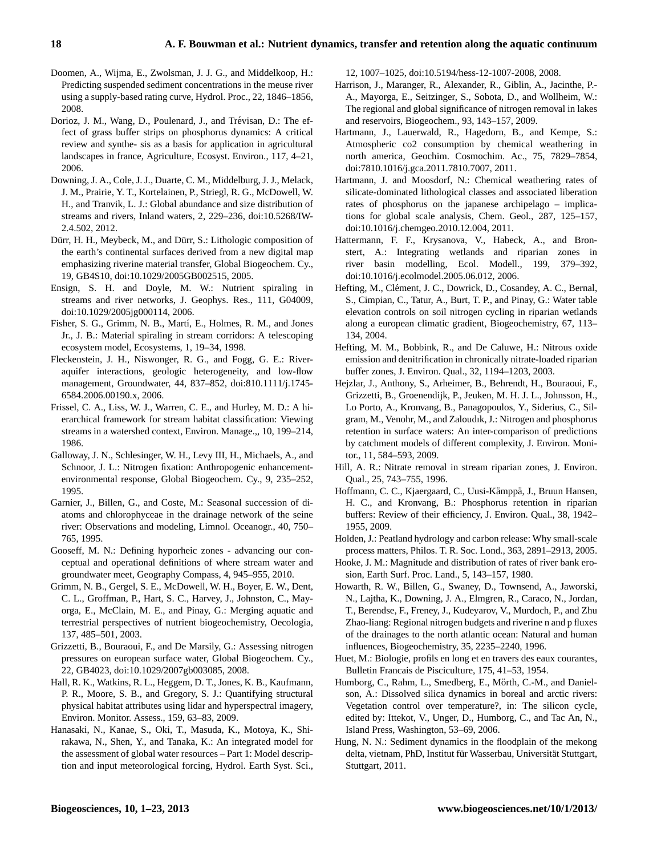- Doomen, A., Wijma, E., Zwolsman, J. J. G., and Middelkoop, H.: Predicting suspended sediment concentrations in the meuse river using a supply-based rating curve, Hydrol. Proc., 22, 1846–1856, 2008.
- Dorioz, J. M., Wang, D., Poulenard, J., and Trévisan, D.: The effect of grass buffer strips on phosphorus dynamics: A critical review and synthe- sis as a basis for application in agricultural landscapes in france, Agriculture, Ecosyst. Environ., 117, 4–21, 2006.
- Downing, J. A., Cole, J. J., Duarte, C. M., Middelburg, J. J., Melack, J. M., Prairie, Y. T., Kortelainen, P., Striegl, R. G., McDowell, W. H., and Tranvik, L. J.: Global abundance and size distribution of streams and rivers, Inland waters, 2, 229–236, [doi:10.5268/IW-](http://dx.doi.org/10.5268/IW-2.4.502)[2.4.502,](http://dx.doi.org/10.5268/IW-2.4.502) 2012.
- Dürr, H. H., Meybeck, M., and Dürr, S.: Lithologic composition of the earth's continental surfaces derived from a new digital map emphasizing riverine material transfer, Global Biogeochem. Cy., 19, GB4S10, [doi:10.1029/2005GB002515,](http://dx.doi.org/10.1029/2005GB002515) 2005.
- Ensign, S. H. and Doyle, M. W.: Nutrient spiraling in streams and river networks, J. Geophys. Res., 111, G04009, [doi:10.1029/2005jg000114,](http://dx.doi.org/10.1029/2005jg000114) 2006.
- Fisher, S. G., Grimm, N. B., Martí, E., Holmes, R. M., and Jones Jr., J. B.: Material spiraling in stream corridors: A telescoping ecosystem model, Ecosystems, 1, 19–34, 1998.
- Fleckenstein, J. H., Niswonger, R. G., and Fogg, G. E.: Riveraquifer interactions, geologic heterogeneity, and low-flow management, Groundwater, 44, 837–852, doi:810.1111/j.1745- 6584.2006.00190.x, 2006.
- Frissel, C. A., Liss, W. J., Warren, C. E., and Hurley, M. D.: A hierarchical framework for stream habitat classification: Viewing streams in a watershed context, Environ. Manage.,, 10, 199–214, 1986.
- Galloway, J. N., Schlesinger, W. H., Levy III, H., Michaels, A., and Schnoor, J. L.: Nitrogen fixation: Anthropogenic enhancementenvironmental response, Global Biogeochem. Cy., 9, 235–252, 1995.
- Garnier, J., Billen, G., and Coste, M.: Seasonal succession of diatoms and chlorophyceae in the drainage network of the seine river: Observations and modeling, Limnol. Oceanogr., 40, 750– 765, 1995.
- Gooseff, M. N.: Defining hyporheic zones advancing our conceptual and operational definitions of where stream water and groundwater meet, Geography Compass, 4, 945–955, 2010.
- Grimm, N. B., Gergel, S. E., McDowell, W. H., Boyer, E. W., Dent, C. L., Groffman, P., Hart, S. C., Harvey, J., Johnston, C., Mayorga, E., McClain, M. E., and Pinay, G.: Merging aquatic and terrestrial perspectives of nutrient biogeochemistry, Oecologia, 137, 485–501, 2003.
- Grizzetti, B., Bouraoui, F., and De Marsily, G.: Assessing nitrogen pressures on european surface water, Global Biogeochem. Cy., 22, GB4023, [doi:10.1029/2007gb003085,](http://dx.doi.org/10.1029/2007gb003085) 2008.
- Hall, R. K., Watkins, R. L., Heggem, D. T., Jones, K. B., Kaufmann, P. R., Moore, S. B., and Gregory, S. J.: Quantifying structural physical habitat attributes using lidar and hyperspectral imagery, Environ. Monitor. Assess., 159, 63–83, 2009.
- Hanasaki, N., Kanae, S., Oki, T., Masuda, K., Motoya, K., Shirakawa, N., Shen, Y., and Tanaka, K.: An integrated model for the assessment of global water resources – Part 1: Model description and input meteorological forcing, Hydrol. Earth Syst. Sci.,

12, 1007–1025, [doi:10.5194/hess-12-1007-2008,](http://dx.doi.org/10.5194/hess-12-1007-2008) 2008.

- Harrison, J., Maranger, R., Alexander, R., Giblin, A., Jacinthe, P.- A., Mayorga, E., Seitzinger, S., Sobota, D., and Wollheim, W.: The regional and global significance of nitrogen removal in lakes and reservoirs, Biogeochem., 93, 143–157, 2009.
- Hartmann, J., Lauerwald, R., Hagedorn, B., and Kempe, S.: Atmospheric co2 consumption by chemical weathering in north america, Geochim. Cosmochim. Ac., 75, 7829–7854, doi:7810.1016/j.gca.2011.7810.7007, 2011.
- Hartmann, J. and Moosdorf, N.: Chemical weathering rates of silicate-dominated lithological classes and associated liberation rates of phosphorus on the japanese archipelago – implications for global scale analysis, Chem. Geol., 287, 125–157, [doi:10.1016/j.chemgeo.2010.12.004,](http://dx.doi.org/10.1016/j.chemgeo.2010.12.004) 2011.
- Hattermann, F. F., Krysanova, V., Habeck, A., and Bronstert, A.: Integrating wetlands and riparian zones in river basin modelling, Ecol. Modell., 199, 379–392, [doi:10.1016/j.ecolmodel.2005.06.012,](http://dx.doi.org/10.1016/j.ecolmodel.2005.06.012) 2006.
- Hefting, M., Clément, J. C., Dowrick, D., Cosandey, A. C., Bernal, S., Cimpian, C., Tatur, A., Burt, T. P., and Pinay, G.: Water table elevation controls on soil nitrogen cycling in riparian wetlands along a european climatic gradient, Biogeochemistry, 67, 113– 134, 2004.
- Hefting, M. M., Bobbink, R., and De Caluwe, H.: Nitrous oxide emission and denitrification in chronically nitrate-loaded riparian buffer zones, J. Environ. Qual., 32, 1194–1203, 2003.
- Hejzlar, J., Anthony, S., Arheimer, B., Behrendt, H., Bouraoui, F., Grizzetti, B., Groenendijk, P., Jeuken, M. H. J. L., Johnsson, H., Lo Porto, A., Kronvang, B., Panagopoulos, Y., Siderius, C., Silgram, M., Venohr, M., and Zaloudık, J.: Nitrogen and phosphorus retention in surface waters: An inter-comparison of predictions by catchment models of different complexity, J. Environ. Monitor., 11, 584–593, 2009.
- Hill, A. R.: Nitrate removal in stream riparian zones, J. Environ. Qual., 25, 743–755, 1996.
- Hoffmann, C. C., Kjaergaard, C., Uusi-Kämppä, J., Bruun Hansen, H. C., and Kronvang, B.: Phosphorus retention in riparian buffers: Review of their efficiency, J. Environ. Qual., 38, 1942– 1955, 2009.
- Holden, J.: Peatland hydrology and carbon release: Why small-scale process matters, Philos. T. R. Soc. Lond., 363, 2891–2913, 2005.
- Hooke, J. M.: Magnitude and distribution of rates of river bank erosion, Earth Surf. Proc. Land., 5, 143–157, 1980.
- Howarth, R. W., Billen, G., Swaney, D., Townsend, A., Jaworski, N., Lajtha, K., Downing, J. A., Elmgren, R., Caraco, N., Jordan, T., Berendse, F., Freney, J., Kudeyarov, V., Murdoch, P., and Zhu Zhao-liang: Regional nitrogen budgets and riverine n and p fluxes of the drainages to the north atlantic ocean: Natural and human influences, Biogeochemistry, 35, 2235–2240, 1996.
- Huet, M.: Biologie, profils en long et en travers des eaux courantes, Bulletin Francais de Pisciculture, 175, 41–53, 1954.
- Humborg, C., Rahm, L., Smedberg, E., Mörth, C.-M., and Danielson, A.: Dissolved silica dynamics in boreal and arctic rivers: Vegetation control over temperature?, in: The silicon cycle, edited by: Ittekot, V., Unger, D., Humborg, C., and Tac An, N., Island Press, Washington, 53–69, 2006.
- Hung, N. N.: Sediment dynamics in the floodplain of the mekong delta, vietnam, PhD, Institut für Wasserbau, Universität Stuttgart, Stuttgart, 2011.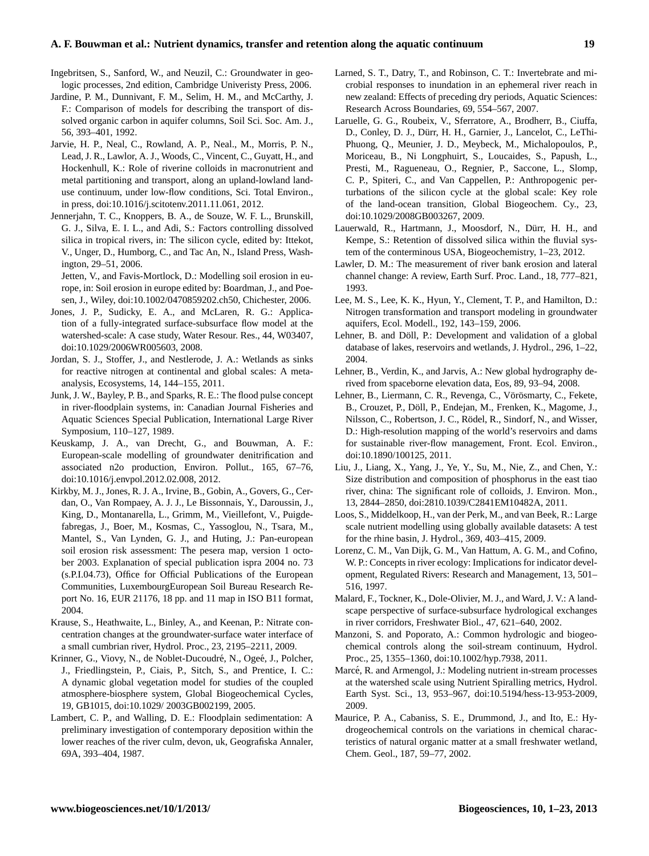# **A. F. Bouwman et al.: Nutrient dynamics, transfer and retention along the aquatic continuum 19**

- Ingebritsen, S., Sanford, W., and Neuzil, C.: Groundwater in geologic processes, 2nd edition, Cambridge Univeristy Press, 2006.
- Jardine, P. M., Dunnivant, F. M., Selim, H. M., and McCarthy, J. F.: Comparison of models for describing the transport of dissolved organic carbon in aquifer columns, Soil Sci. Soc. Am. J., 56, 393–401, 1992.
- Jarvie, H. P., Neal, C., Rowland, A. P., Neal., M., Morris, P. N., Lead, J. R., Lawlor, A. J., Woods, C., Vincent, C., Guyatt, H., and Hockenhull, K.: Role of riverine colloids in macronutrient and metal partitioning and transport, along an upland-lowland landuse continuum, under low-flow conditions, Sci. Total Environ., in press, [doi:10.1016/j.scitotenv.2011.11.061,](http://dx.doi.org/10.1016/j.scitotenv.2011.11.061) 2012.
- Jennerjahn, T. C., Knoppers, B. A., de Souze, W. F. L., Brunskill, G. J., Silva, E. I. L., and Adi, S.: Factors controlling dissolved silica in tropical rivers, in: The silicon cycle, edited by: Ittekot, V., Unger, D., Humborg, C., and Tac An, N., Island Press, Washington, 29–51, 2006.
	- Jetten, V., and Favis-Mortlock, D.: Modelling soil erosion in europe, in: Soil erosion in europe edited by: Boardman, J., and Poesen, J., Wiley, [doi:10.1002/0470859202.ch50,](http://dx.doi.org/10.1002/0470859202.ch50) Chichester, 2006.
- Jones, J. P., Sudicky, E. A., and McLaren, R. G.: Application of a fully-integrated surface-subsurface flow model at the watershed-scale: A case study, Water Resour. Res., 44, W03407, [doi:10.1029/2006WR005603,](http://dx.doi.org/10.1029/2006WR005603) 2008.
- Jordan, S. J., Stoffer, J., and Nestlerode, J. A.: Wetlands as sinks for reactive nitrogen at continental and global scales: A metaanalysis, Ecosystems, 14, 144–155, 2011.
- Junk, J. W., Bayley, P. B., and Sparks, R. E.: The flood pulse concept in river-floodplain systems, in: Canadian Journal Fisheries and Aquatic Sciences Special Publication, International Large River Symposium, 110–127, 1989.
- Keuskamp, J. A., van Drecht, G., and Bouwman, A. F.: European-scale modelling of groundwater denitrification and associated n2o production, Environ. Pollut., 165, 67–76, [doi:10.1016/j.envpol.2012.02.008,](http://dx.doi.org/10.1016/j.envpol.2012.02.008) 2012.
- Kirkby, M. J., Jones, R. J. A., Irvine, B., Gobin, A., Govers, G., Cerdan, O., Van Rompaey, A. J. J., Le Bissonnais, Y., Daroussin, J., King, D., Montanarella, L., Grimm, M., Vieillefont, V., Puigdefabregas, J., Boer, M., Kosmas, C., Yassoglou, N., Tsara, M., Mantel, S., Van Lynden, G. J., and Huting, J.: Pan-european soil erosion risk assessment: The pesera map, version 1 october 2003. Explanation of special publication ispra 2004 no. 73 (s.P.I.04.73), Office for Official Publications of the European Communities, LuxembourgEuropean Soil Bureau Research Report No. 16, EUR 21176, 18 pp. and 11 map in ISO B11 format, 2004.
- Krause, S., Heathwaite, L., Binley, A., and Keenan, P.: Nitrate concentration changes at the groundwater-surface water interface of a small cumbrian river, Hydrol. Proc., 23, 2195–2211, 2009.
- Krinner, G., Viovy, N., de Noblet-Ducoudré, N., Ogeé, J., Polcher, J., Friedlingstein, P., Ciais, P., Sitch, S., and Prentice, I. C.: A dynamic global vegetation model for studies of the coupled atmosphere-biosphere system, Global Biogeochemical Cycles, 19, GB1015, [doi:10.1029/ 2003GB002199,](http://dx.doi.org/10.1029/ 2003GB002199) 2005.
- Lambert, C. P., and Walling, D. E.: Floodplain sedimentation: A preliminary investigation of contemporary deposition within the lower reaches of the river culm, devon, uk, Geografiska Annaler, 69A, 393–404, 1987.
- Larned, S. T., Datry, T., and Robinson, C. T.: Invertebrate and microbial responses to inundation in an ephemeral river reach in new zealand: Effects of preceding dry periods, Aquatic Sciences: Research Across Boundaries, 69, 554–567, 2007.
- Laruelle, G. G., Roubeix, V., Sferratore, A., Brodherr, B., Ciuffa, D., Conley, D. J., Dürr, H. H., Garnier, J., Lancelot, C., LeThi-Phuong, Q., Meunier, J. D., Meybeck, M., Michalopoulos, P., Moriceau, B., Ni Longphuirt, S., Loucaides, S., Papush, L., Presti, M., Ragueneau, O., Regnier, P., Saccone, L., Slomp, C. P., Spiteri, C., and Van Cappellen, P.: Anthropogenic perturbations of the silicon cycle at the global scale: Key role of the land-ocean transition, Global Biogeochem. Cy., 23, [doi:10.1029/2008GB003267,](http://dx.doi.org/10.1029/2008GB003267) 2009.
- Lauerwald, R., Hartmann, J., Moosdorf, N., Dürr, H. H., and Kempe, S.: Retention of dissolved silica within the fluvial system of the conterminous USA, Biogeochemistry, 1–23, 2012.
- Lawler, D. M.: The measurement of river bank erosion and lateral channel change: A review, Earth Surf. Proc. Land., 18, 777–821, 1993.
- Lee, M. S., Lee, K. K., Hyun, Y., Clement, T. P., and Hamilton, D.: Nitrogen transformation and transport modeling in groundwater aquifers, Ecol. Modell., 192, 143–159, 2006.
- Lehner, B. and Döll, P.: Development and validation of a global database of lakes, reservoirs and wetlands, J. Hydrol., 296, 1–22, 2004.
- Lehner, B., Verdin, K., and Jarvis, A.: New global hydrography derived from spaceborne elevation data, Eos, 89, 93–94, 2008.
- Lehner, B., Liermann, C. R., Revenga, C., Vörösmarty, C., Fekete, B., Crouzet, P., Döll, P., Endejan, M., Frenken, K., Magome, J., Nilsson, C., Robertson, J. C., Rödel, R., Sindorf, N., and Wisser, D.: High-resolution mapping of the world's reservoirs and dams for sustainable river-flow management, Front. Ecol. Environ., [doi:10.1890/100125,](http://dx.doi.org/10.1890/100125) 2011.
- Liu, J., Liang, X., Yang, J., Ye, Y., Su, M., Nie, Z., and Chen, Y.: Size distribution and composition of phosphorus in the east tiao river, china: The significant role of colloids, J. Environ. Mon., 13, 2844–2850, [doi:2810.1039/C2841EM10482A,](http://dx.doi.org/2810.1039/C2841EM10482A) 2011.
- Loos, S., Middelkoop, H., van der Perk, M., and van Beek, R.: Large scale nutrient modelling using globally available datasets: A test for the rhine basin, J. Hydrol., 369, 403–415, 2009.
- Lorenz, C. M., Van Dijk, G. M., Van Hattum, A. G. M., and Cofino, W. P.: Concepts in river ecology: Implications for indicator development, Regulated Rivers: Research and Management, 13, 501– 516, 1997.
- Malard, F., Tockner, K., Dole-Olivier, M. J., and Ward, J. V.: A landscape perspective of surface-subsurface hydrological exchanges in river corridors, Freshwater Biol., 47, 621–640, 2002.
- Manzoni, S. and Poporato, A.: Common hydrologic and biogeochemical controls along the soil-stream continuum, Hydrol. Proc., 25, 1355–1360, [doi:10.1002/hyp.7938,](http://dx.doi.org/10.1002/hyp.7938) 2011.
- Marcé, R. and Armengol, J.: Modeling nutrient in-stream processes at the watershed scale using Nutrient Spiralling metrics, Hydrol. Earth Syst. Sci., 13, 953–967, [doi:10.5194/hess-13-953-2009,](http://dx.doi.org/10.5194/hess-13-953-2009) 2009.
- Maurice, P. A., Cabaniss, S. E., Drummond, J., and Ito, E.: Hydrogeochemical controls on the variations in chemical characteristics of natural organic matter at a small freshwater wetland, Chem. Geol., 187, 59–77, 2002.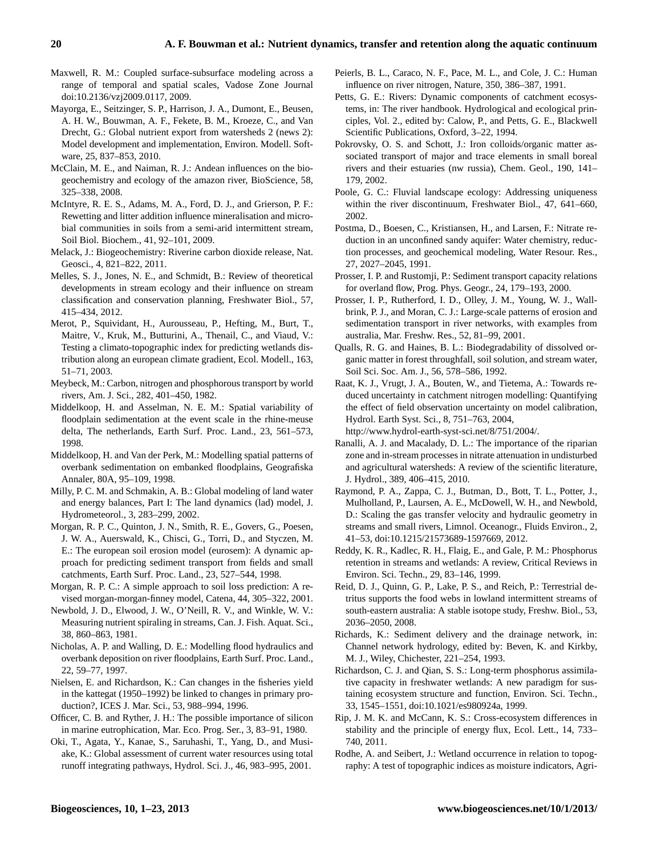- Maxwell, R. M.: Coupled surface-subsurface modeling across a range of temporal and spatial scales, Vadose Zone Journal [doi:10.2136/vzj2009.0117,](http://dx.doi.org/10.2136/vzj2009.0117) 2009.
- Mayorga, E., Seitzinger, S. P., Harrison, J. A., Dumont, E., Beusen, A. H. W., Bouwman, A. F., Fekete, B. M., Kroeze, C., and Van Drecht, G.: Global nutrient export from watersheds 2 (news 2): Model development and implementation, Environ. Modell. Software, 25, 837–853, 2010.
- McClain, M. E., and Naiman, R. J.: Andean influences on the biogeochemistry and ecology of the amazon river, BioScience, 58, 325–338, 2008.
- McIntyre, R. E. S., Adams, M. A., Ford, D. J., and Grierson, P. F.: Rewetting and litter addition influence mineralisation and microbial communities in soils from a semi-arid intermittent stream, Soil Biol. Biochem., 41, 92–101, 2009.
- Melack, J.: Biogeochemistry: Riverine carbon dioxide release, Nat. Geosci., 4, 821–822, 2011.
- Melles, S. J., Jones, N. E., and Schmidt, B.: Review of theoretical developments in stream ecology and their influence on stream classification and conservation planning, Freshwater Biol., 57, 415–434, 2012.
- Merot, P., Squividant, H., Aurousseau, P., Hefting, M., Burt, T., Maitre, V., Kruk, M., Butturini, A., Thenail, C., and Viaud, V.: Testing a climato-topographic index for predicting wetlands distribution along an european climate gradient, Ecol. Modell., 163, 51–71, 2003.
- Meybeck, M.: Carbon, nitrogen and phosphorous transport by world rivers, Am. J. Sci., 282, 401–450, 1982.
- Middelkoop, H. and Asselman, N. E. M.: Spatial variability of floodplain sedimentation at the event scale in the rhine-meuse delta, The netherlands, Earth Surf. Proc. Land., 23, 561–573, 1998.
- Middelkoop, H. and Van der Perk, M.: Modelling spatial patterns of overbank sedimentation on embanked floodplains, Geografiska Annaler, 80A, 95–109, 1998.
- Milly, P. C. M. and Schmakin, A. B.: Global modeling of land water and energy balances, Part I: The land dynamics (lad) model, J. Hydrometeorol., 3, 283–299, 2002.
- Morgan, R. P. C., Quinton, J. N., Smith, R. E., Govers, G., Poesen, J. W. A., Auerswald, K., Chisci, G., Torri, D., and Styczen, M. E.: The european soil erosion model (eurosem): A dynamic approach for predicting sediment transport from fields and small catchments, Earth Surf. Proc. Land., 23, 527–544, 1998.
- Morgan, R. P. C.: A simple approach to soil loss prediction: A revised morgan-morgan-finney model, Catena, 44, 305–322, 2001.
- Newbold, J. D., Elwood, J. W., O'Neill, R. V., and Winkle, W. V.: Measuring nutrient spiraling in streams, Can. J. Fish. Aquat. Sci., 38, 860–863, 1981.
- Nicholas, A. P. and Walling, D. E.: Modelling flood hydraulics and overbank deposition on river floodplains, Earth Surf. Proc. Land., 22, 59–77, 1997.
- Nielsen, E. and Richardson, K.: Can changes in the fisheries yield in the kattegat (1950–1992) be linked to changes in primary production?, ICES J. Mar. Sci., 53, 988–994, 1996.
- Officer, C. B. and Ryther, J. H.: The possible importance of silicon in marine eutrophication, Mar. Eco. Prog. Ser., 3, 83–91, 1980.
- Oki, T., Agata, Y., Kanae, S., Saruhashi, T., Yang, D., and Musiake, K.: Global assessment of current water resources using total runoff integrating pathways, Hydrol. Sci. J., 46, 983–995, 2001.
- Peierls, B. L., Caraco, N. F., Pace, M. L., and Cole, J. C.: Human influence on river nitrogen, Nature, 350, 386–387, 1991.
- Petts, G. E.: Rivers: Dynamic components of catchment ecosystems, in: The river handbook. Hydrological and ecological principles, Vol. 2., edited by: Calow, P., and Petts, G. E., Blackwell Scientific Publications, Oxford, 3–22, 1994.
- Pokrovsky, O. S. and Schott, J.: Iron colloids/organic matter associated transport of major and trace elements in small boreal rivers and their estuaries (nw russia), Chem. Geol., 190, 141– 179, 2002.
- Poole, G. C.: Fluvial landscape ecology: Addressing uniqueness within the river discontinuum, Freshwater Biol., 47, 641–660, 2002.
- Postma, D., Boesen, C., Kristiansen, H., and Larsen, F.: Nitrate reduction in an unconfined sandy aquifer: Water chemistry, reduction processes, and geochemical modeling, Water Resour. Res., 27, 2027–2045, 1991.
- Prosser, I. P. and Rustomji, P.: Sediment transport capacity relations for overland flow, Prog. Phys. Geogr., 24, 179–193, 2000.
- Prosser, I. P., Rutherford, I. D., Olley, J. M., Young, W. J., Wallbrink, P. J., and Moran, C. J.: Large-scale patterns of erosion and sedimentation transport in river networks, with examples from australia, Mar. Freshw. Res., 52, 81–99, 2001.
- Qualls, R. G. and Haines, B. L.: Biodegradability of dissolved organic matter in forest throughfall, soil solution, and stream water, Soil Sci. Soc. Am. J., 56, 578–586, 1992.
- Raat, K. J., Vrugt, J. A., Bouten, W., and Tietema, A.: Towards reduced uncertainty in catchment nitrogen modelling: Quantifying the effect of field observation uncertainty on model calibration, Hydrol. Earth Syst. Sci., 8, 751–763, 2004,

[http://www.hydrol-earth-syst-sci.net/8/751/2004/.](http://www.hydrol-earth-syst-sci.net/8/751/2004/)

- Ranalli, A. J. and Macalady, D. L.: The importance of the riparian zone and in-stream processes in nitrate attenuation in undisturbed and agricultural watersheds: A review of the scientific literature, J. Hydrol., 389, 406–415, 2010.
- Raymond, P. A., Zappa, C. J., Butman, D., Bott, T. L., Potter, J., Mulholland, P., Laursen, A. E., McDowell, W. H., and Newbold, D.: Scaling the gas transfer velocity and hydraulic geometry in streams and small rivers, Limnol. Oceanogr., Fluids Environ., 2, 41–53, [doi:10.1215/21573689-1597669,](http://dx.doi.org/10.1215/21573689-1597669) 2012.
- Reddy, K. R., Kadlec, R. H., Flaig, E., and Gale, P. M.: Phosphorus retention in streams and wetlands: A review, Critical Reviews in Environ. Sci. Techn., 29, 83–146, 1999.
- Reid, D. J., Quinn, G. P., Lake, P. S., and Reich, P.: Terrestrial detritus supports the food webs in lowland intermittent streams of south-eastern australia: A stable isotope study, Freshw. Biol., 53, 2036–2050, 2008.
- Richards, K.: Sediment delivery and the drainage network, in: Channel network hydrology, edited by: Beven, K. and Kirkby, M. J., Wiley, Chichester, 221–254, 1993.
- Richardson, C. J. and Qian, S. S.: Long-term phosphorus assimilative capacity in freshwater wetlands: A new paradigm for sustaining ecosystem structure and function, Environ. Sci. Techn., 33, 1545–1551, [doi:10.1021/es980924a,](http://dx.doi.org/10.1021/es980924a) 1999.
- Rip, J. M. K. and McCann, K. S.: Cross-ecosystem differences in stability and the principle of energy flux, Ecol. Lett., 14, 733– 740, 2011.
- Rodhe, A. and Seibert, J.: Wetland occurrence in relation to topography: A test of topographic indices as moisture indicators, Agri-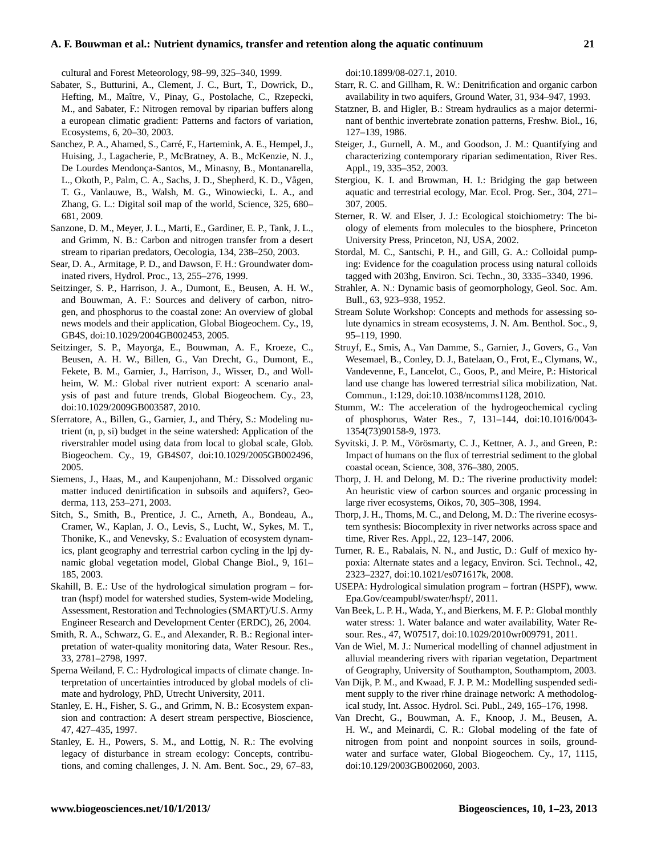#### **A. F. Bouwman et al.: Nutrient dynamics, transfer and retention along the aquatic continuum 21**

cultural and Forest Meteorology, 98–99, 325–340, 1999.

- Sabater, S., Butturini, A., Clement, J. C., Burt, T., Dowrick, D., Hefting, M., Maître, V., Pinay, G., Postolache, C., Rzepecki, M., and Sabater, F.: Nitrogen removal by riparian buffers along a european climatic gradient: Patterns and factors of variation, Ecosystems, 6, 20–30, 2003.
- Sanchez, P. A., Ahamed, S., Carré, F., Hartemink, A. E., Hempel, J., Huising, J., Lagacherie, P., McBratney, A. B., McKenzie, N. J., De Lourdes Mendonça-Santos, M., Minasny, B., Montanarella, L., Okoth, P., Palm, C. A., Sachs, J. D., Shepherd, K. D., Vågen, T. G., Vanlauwe, B., Walsh, M. G., Winowiecki, L. A., and Zhang, G. L.: Digital soil map of the world, Science, 325, 680– 681, 2009.
- Sanzone, D. M., Meyer, J. L., Marti, E., Gardiner, E. P., Tank, J. L., and Grimm, N. B.: Carbon and nitrogen transfer from a desert stream to riparian predators, Oecologia, 134, 238–250, 2003.
- Sear, D. A., Armitage, P. D., and Dawson, F. H.: Groundwater dominated rivers, Hydrol. Proc., 13, 255–276, 1999.
- Seitzinger, S. P., Harrison, J. A., Dumont, E., Beusen, A. H. W., and Bouwman, A. F.: Sources and delivery of carbon, nitrogen, and phosphorus to the coastal zone: An overview of global news models and their application, Global Biogeochem. Cy., 19, GB4S, [doi:10.1029/2004GB002453,](http://dx.doi.org/10.1029/2004GB002453) 2005.
- Seitzinger, S. P., Mayorga, E., Bouwman, A. F., Kroeze, C., Beusen, A. H. W., Billen, G., Van Drecht, G., Dumont, E., Fekete, B. M., Garnier, J., Harrison, J., Wisser, D., and Wollheim, W. M.: Global river nutrient export: A scenario analysis of past and future trends, Global Biogeochem. Cy., 23, [doi:10.1029/2009GB003587,](http://dx.doi.org/10.1029/2009GB003587) 2010.
- Sferratore, A., Billen, G., Garnier, J., and Théry, S.: Modeling nutrient (n, p, si) budget in the seine watershed: Application of the riverstrahler model using data from local to global scale, Glob. Biogeochem. Cy., 19, GB4S07, [doi:10.1029/2005GB002496,](http://dx.doi.org/10.1029/2005GB002496) 2005.
- Siemens, J., Haas, M., and Kaupenjohann, M.: Dissolved organic matter induced denirtification in subsoils and aquifers?, Geoderma, 113, 253–271, 2003.
- Sitch, S., Smith, B., Prentice, J. C., Arneth, A., Bondeau, A., Cramer, W., Kaplan, J. O., Levis, S., Lucht, W., Sykes, M. T., Thonike, K., and Venevsky, S.: Evaluation of ecosystem dynamics, plant geography and terrestrial carbon cycling in the lpj dynamic global vegetation model, Global Change Biol., 9, 161– 185, 2003.
- Skahill, B. E.: Use of the hydrological simulation program fortran (hspf) model for watershed studies, System-wide Modeling, Assessment, Restoration and Technologies (SMART)/U.S. Army Engineer Research and Development Center (ERDC), 26, 2004.
- Smith, R. A., Schwarz, G. E., and Alexander, R. B.: Regional interpretation of water-quality monitoring data, Water Resour. Res., 33, 2781–2798, 1997.
- Sperna Weiland, F. C.: Hydrological impacts of climate change. Interpretation of uncertainties introduced by global models of climate and hydrology, PhD, Utrecht University, 2011.
- Stanley, E. H., Fisher, S. G., and Grimm, N. B.: Ecosystem expansion and contraction: A desert stream perspective, Bioscience, 47, 427–435, 1997.
- Stanley, E. H., Powers, S. M., and Lottig, N. R.: The evolving legacy of disturbance in stream ecology: Concepts, contributions, and coming challenges, J. N. Am. Bent. Soc., 29, 67–83,

[doi:10.1899/08-027.1,](http://dx.doi.org/10.1899/08-027.1) 2010.

- Starr, R. C. and Gillham, R. W.: Denitrification and organic carbon availability in two aquifers, Ground Water, 31, 934–947, 1993.
- Statzner, B. and Higler, B.: Stream hydraulics as a major determinant of benthic invertebrate zonation patterns, Freshw. Biol., 16, 127–139, 1986.
- Steiger, J., Gurnell, A. M., and Goodson, J. M.: Quantifying and characterizing contemporary riparian sedimentation, River Res. Appl., 19, 335–352, 2003.
- Stergiou, K. I. and Browman, H. I.: Bridging the gap between aquatic and terrestrial ecology, Mar. Ecol. Prog. Ser., 304, 271– 307, 2005.
- Sterner, R. W. and Elser, J. J.: Ecological stoichiometry: The biology of elements from molecules to the biosphere, Princeton University Press, Princeton, NJ, USA, 2002.
- Stordal, M. C., Santschi, P. H., and Gill, G. A.: Colloidal pumping: Evidence for the coagulation process using natural colloids tagged with 203hg, Environ. Sci. Techn., 30, 3335–3340, 1996.
- Strahler, A. N.: Dynamic basis of geomorphology, Geol. Soc. Am. Bull., 63, 923–938, 1952.
- Stream Solute Workshop: Concepts and methods for assessing solute dynamics in stream ecosystems, J. N. Am. Benthol. Soc., 9, 95–119, 1990.
- Struyf, E., Smis, A., Van Damme, S., Garnier, J., Govers, G., Van Wesemael, B., Conley, D. J., Batelaan, O., Frot, E., Clymans, W., Vandevenne, F., Lancelot, C., Goos, P., and Meire, P.: Historical land use change has lowered terrestrial silica mobilization, Nat. Commun., 1:129, [doi:10.1038/ncomms1128,](http://dx.doi.org/10.1038/ncomms1128) 2010.
- Stumm, W.: The acceleration of the hydrogeochemical cycling of phosphorus, Water Res., 7, 131–144, [doi:10.1016/0043-](http://dx.doi.org/10.1016/0043-1354(73)90158-9) [1354\(73\)90158-9,](http://dx.doi.org/10.1016/0043-1354(73)90158-9) 1973.
- Syvitski, J. P. M., Vörösmarty, C. J., Kettner, A. J., and Green, P.: Impact of humans on the flux of terrestrial sediment to the global coastal ocean, Science, 308, 376–380, 2005.
- Thorp, J. H. and Delong, M. D.: The riverine productivity model: An heuristic view of carbon sources and organic processing in large river ecosystems, Oikos, 70, 305–308, 1994.
- Thorp, J. H., Thoms, M. C., and Delong, M. D.: The riverine ecosystem synthesis: Biocomplexity in river networks across space and time, River Res. Appl., 22, 123–147, 2006.
- Turner, R. E., Rabalais, N. N., and Justic, D.: Gulf of mexico hypoxia: Alternate states and a legacy, Environ. Sci. Technol., 42, 2323–2327, [doi:10.1021/es071617k,](http://dx.doi.org/10.1021/es071617k) 2008.
- USEPA: Hydrological simulation program fortran (HSPF), [www.](www.Epa.Gov/ceampubl/swater/hspf/) [Epa.Gov/ceampubl/swater/hspf/,](www.Epa.Gov/ceampubl/swater/hspf/) 2011.
- Van Beek, L. P. H., Wada, Y., and Bierkens, M. F. P.: Global monthly water stress: 1. Water balance and water availability, Water Resour. Res., 47, W07517, [doi:10.1029/2010wr009791,](http://dx.doi.org/10.1029/2010wr009791) 2011.
- Van de Wiel, M. J.: Numerical modelling of channel adjustment in alluvial meandering rivers with riparian vegetation, Department of Geography, University of Southampton, Southamptom, 2003.
- Van Dijk, P. M., and Kwaad, F. J. P. M.: Modelling suspended sediment supply to the river rhine drainage network: A methodological study, Int. Assoc. Hydrol. Sci. Publ., 249, 165–176, 1998.
- Van Drecht, G., Bouwman, A. F., Knoop, J. M., Beusen, A. H. W., and Meinardi, C. R.: Global modeling of the fate of nitrogen from point and nonpoint sources in soils, groundwater and surface water, Global Biogeochem. Cy., 17, 1115, [doi:10.129/2003GB002060,](http://dx.doi.org/10.129/2003GB002060) 2003.